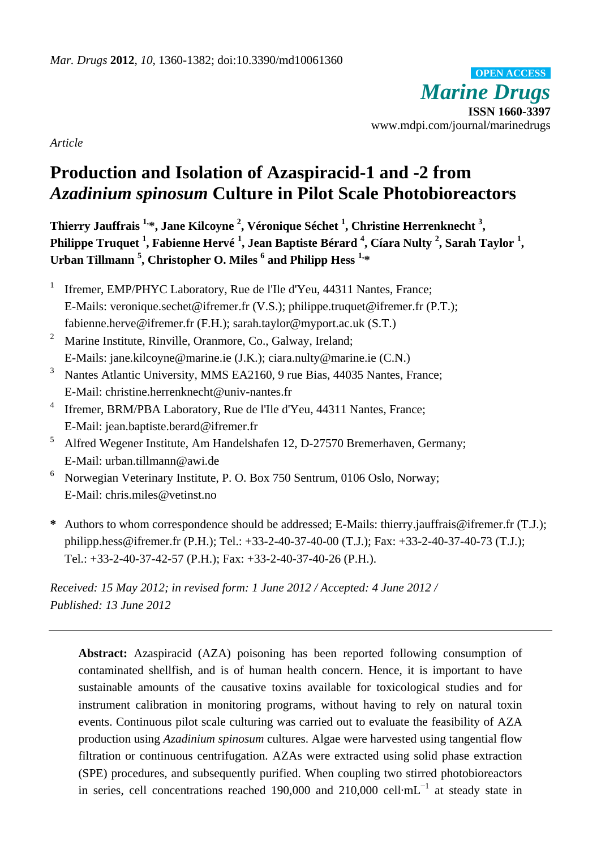*Marine Drugs* **ISSN 1660-3397** www.mdpi.com/journal/marinedrugs **OPEN ACCESS**

*Article*

# **Production and Isolation of Azaspiracid-1 and -2 from** *Azadinium spinosum* **Culture in Pilot Scale Photobioreactors**

**Thierry Jauffrais 1, \*, Jane Kilcoyne <sup>2</sup> , Véronique Séchet <sup>1</sup> , Christine Herrenknecht <sup>3</sup> ,** Philippe Truquet <sup>1</sup>, Fabienne Herv é <sup>1</sup>, Jean Baptiste B érard <sup>4</sup>, C ára Nulty <sup>2</sup>, Sarah Taylor <sup>1</sup>, **Urban Tillmann <sup>5</sup> , Christopher O. Miles <sup>6</sup> and Philipp Hess 1, \***

- 1 Ifremer, EMP/PHYC Laboratory, Rue de l'Ile d'Yeu, 44311 Nantes, France; E-Mails: veronique.sechet@ifremer.fr (V.S.); philippe.truquet@ifremer.fr (P.T.); fabienne.herve@ifremer.fr (F.H.); sarah.taylor@myport.ac.uk (S.T.)
- <sup>2</sup> Marine Institute, Rinville, Oranmore, Co., Galway, Ireland; E-Mails: jane.kilcoyne@marine.ie (J.K.); ciara.nulty@marine.ie (C.N.)
- <sup>3</sup> Nantes Atlantic University, MMS EA2160, 9 rue Bias, 44035 Nantes, France; E-Mail: christine.herrenknecht@univ-nantes.fr
- 4 Ifremer, BRM/PBA Laboratory, Rue de l'Ile d'Yeu, 44311 Nantes, France; E-Mail: jean.baptiste.berard@ifremer.fr
- <sup>5</sup> Alfred Wegener Institute, Am Handelshafen 12, D-27570 Bremerhaven, Germany; E-Mail: urban.tillmann@awi.de
- <sup>6</sup> Norwegian Veterinary Institute, P. O. Box 750 Sentrum, 0106 Oslo, Norway; E-Mail: chris.miles@vetinst.no
- **\*** Authors to whom correspondence should be addressed; E-Mails: thierry.jauffrais@ifremer.fr (T.J.); philipp.hess@ifremer.fr (P.H.); Tel.: +33-2-40-37-40-00 (T.J.); Fax: +33-2-40-37-40-73 (T.J.); Tel.: +33-2-40-37-42-57 (P.H.); Fax: +33-2-40-37-40-26 (P.H.).

*Received: 15 May 2012; in revised form: 1 June 2012 / Accepted: 4 June 2012 / Published: 13 June 2012*

**Abstract:** Azaspiracid (AZA) poisoning has been reported following consumption of contaminated shellfish, and is of human health concern. Hence, it is important to have sustainable amounts of the causative toxins available for toxicological studies and for instrument calibration in monitoring programs, without having to rely on natural toxin events. Continuous pilot scale culturing was carried out to evaluate the feasibility of AZA production using *Azadinium spinosum* cultures. Algae were harvested using tangential flow filtration or continuous centrifugation. AZAs were extracted using solid phase extraction (SPE) procedures, and subsequently purified. When coupling two stirred photobioreactors in series, cell concentrations reached 190,000 and 210,000 cell mL<sup>-1</sup> at steady state in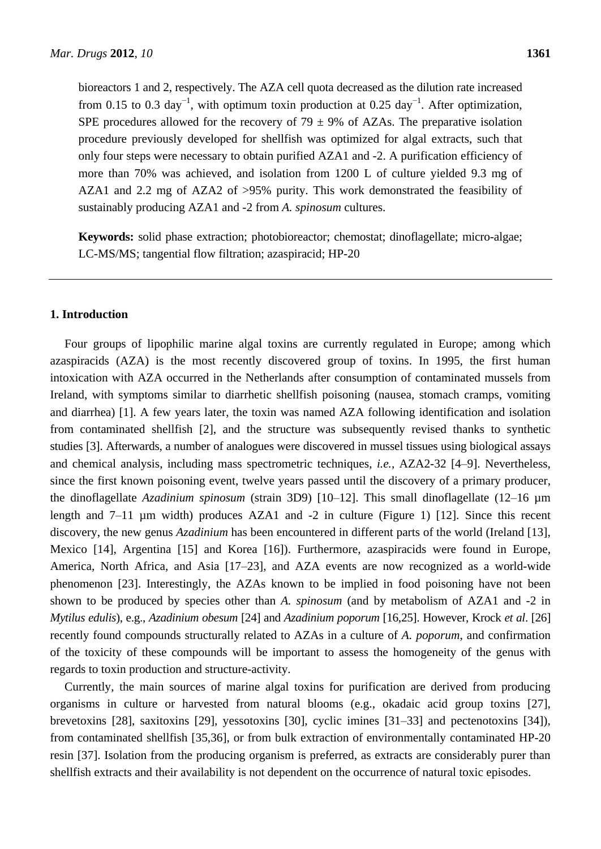bioreactors 1 and 2, respectively. The AZA cell quota decreased as the dilution rate increased from 0.15 to 0.3 day<sup>-1</sup>, with optimum toxin production at 0.25 day<sup>-1</sup>. After optimization, SPE procedures allowed for the recovery of 79  $\pm$ 9% of AZAs. The preparative isolation procedure previously developed for shellfish was optimized for algal extracts, such that only four steps were necessary to obtain purified AZA1 and -2. A purification efficiency of more than 70% was achieved, and isolation from 1200 L of culture yielded 9.3 mg of AZA1 and 2.2 mg of AZA2 of >95% purity. This work demonstrated the feasibility of sustainably producing AZA1 and -2 from *A. spinosum* cultures.

**Keywords:** solid phase extraction; photobioreactor; chemostat; dinoflagellate; micro-algae; LC-MS/MS; tangential flow filtration; azaspiracid; HP-20

# **1. Introduction**

Four groups of lipophilic marine algal toxins are currently regulated in Europe; among which azaspiracids (AZA) is the most recently discovered group of toxins. In 1995, the first human intoxication with AZA occurred in the Netherlands after consumption of contaminated mussels from Ireland, with symptoms similar to diarrhetic shellfish poisoning (nausea, stomach cramps, vomiting and diarrhea) [1]. A few years later, the toxin was named AZA following identification and isolation from contaminated shellfish [2], and the structure was subsequently revised thanks to synthetic studies [3]. Afterwards, a number of analogues were discovered in mussel tissues using biological assays and chemical analysis, including mass spectrometric techniques, *i.e.*, AZA2-32 [4–9]. Nevertheless, since the first known poisoning event, twelve years passed until the discovery of a primary producer, the dinoflagellate *Azadinium spinosum* (strain 3D9) [10–12]. This small dinoflagellate (12–16 µm length and 7–11 µm width) produces AZA1 and -2 in culture (Figure 1) [12]. Since this recent discovery, the new genus *Azadinium* has been encountered in different parts of the world (Ireland [13], Mexico [14], Argentina [15] and Korea [16]). Furthermore, azaspiracids were found in Europe, America, North Africa, and Asia [17–23], and AZA events are now recognized as a world-wide phenomenon [23]. Interestingly, the AZAs known to be implied in food poisoning have not been shown to be produced by species other than *A. spinosum* (and by metabolism of AZA1 and -2 in *Mytilus edulis*), e.g., *Azadinium obesum* [24] and *Azadinium poporum* [16,25]. However, Krock *et al*. [26] recently found compounds structurally related to AZAs in a culture of *A. poporum*, and confirmation of the toxicity of these compounds will be important to assess the homogeneity of the genus with regards to toxin production and structure-activity.

Currently, the main sources of marine algal toxins for purification are derived from producing organisms in culture or harvested from natural blooms (e.g., okadaic acid group toxins [27], brevetoxins [28], saxitoxins [29], yessotoxins [30], cyclic imines [31–33] and pectenotoxins [34]), from contaminated shellfish [35,36], or from bulk extraction of environmentally contaminated HP-20 resin [37]. Isolation from the producing organism is preferred, as extracts are considerably purer than shellfish extracts and their availability is not dependent on the occurrence of natural toxic episodes.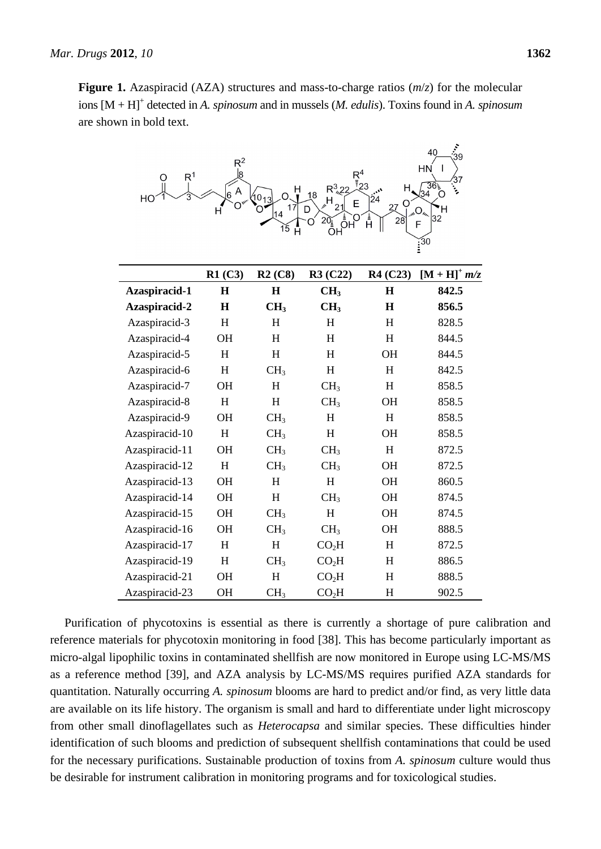حي ا

**Figure 1.** Azaspiracid (AZA) structures and mass-to-charge ratios (*m*/*z*) for the molecular ions [M + H]<sup>+</sup> detected in *A. spinosum* and in mussels (*M. edulis*). Toxins found in *A. spinosum* are shown in bold text.

| R <sup>1</sup><br>Ο<br>HC | $R^2$<br>Į8 | н<br>$^{40}$ 13<br>17<br>14<br>15<br>Ĥ | $R_{23}^4$<br>$R^3_{12}$<br>18<br>$\mathsf{H}$<br>E<br>21<br>D | 24<br>27<br>28<br>Ĥ | 40<br>39<br>HN<br>ı<br>36 <sub>5</sub><br>34<br>32<br>F<br>$\widetilde{\mathbf{1}^{30}}$ |
|---------------------------|-------------|----------------------------------------|----------------------------------------------------------------|---------------------|------------------------------------------------------------------------------------------|
|                           | R1(C3)      | R2(C8)                                 | R3 (C22)                                                       | R4 (C23)            | $[M + H]^+ m/z$                                                                          |
| Azaspiracid-1             | $\mathbf H$ | $\mathbf H$                            | CH <sub>3</sub>                                                | $\mathbf H$         | 842.5                                                                                    |
| Azaspiracid-2             | H           | CH <sub>3</sub>                        | CH <sub>3</sub>                                                | H                   | 856.5                                                                                    |
| Azaspiracid-3             | H           | H                                      | H                                                              | H                   | 828.5                                                                                    |
| Azaspiracid-4             | OH          | H                                      | H                                                              | H                   | 844.5                                                                                    |
| Azaspiracid-5             | H           | H                                      | H                                                              | <b>OH</b>           | 844.5                                                                                    |
| Azaspiracid-6             | H           | CH <sub>3</sub>                        | H                                                              | H                   | 842.5                                                                                    |
| Azaspiracid-7             | OH          | H                                      | CH <sub>3</sub>                                                | H                   | 858.5                                                                                    |
| Azaspiracid-8             | H           | H                                      | CH <sub>3</sub>                                                | <b>OH</b>           | 858.5                                                                                    |
| Azaspiracid-9             | OH          | CH <sub>3</sub>                        | H                                                              | H                   | 858.5                                                                                    |
| Azaspiracid-10            | H           | CH <sub>3</sub>                        | H                                                              | OH                  | 858.5                                                                                    |
| Azaspiracid-11            | OH          | CH <sub>3</sub>                        | CH <sub>3</sub>                                                | H                   | 872.5                                                                                    |
| Azaspiracid-12            | H           | CH <sub>3</sub>                        | CH <sub>3</sub>                                                | <b>OH</b>           | 872.5                                                                                    |
| Azaspiracid-13            | OH          | H                                      | H                                                              | <b>OH</b>           | 860.5                                                                                    |
| Azaspiracid-14            | OH          | H                                      | CH <sub>3</sub>                                                | OH                  | 874.5                                                                                    |
| Azaspiracid-15            | OH          | CH <sub>3</sub>                        | H                                                              | <b>OH</b>           | 874.5                                                                                    |
| Azaspiracid-16            | OH          | CH <sub>3</sub>                        | CH <sub>3</sub>                                                | <b>OH</b>           | 888.5                                                                                    |
| Azaspiracid-17            | H           | H                                      | CO <sub>2</sub> H                                              | H                   | 872.5                                                                                    |
| Azaspiracid-19            | H           | CH <sub>3</sub>                        | CO <sub>2</sub> H                                              | H                   | 886.5                                                                                    |
| Azaspiracid-21            | OH          | H                                      | CO <sub>2</sub> H                                              | H                   | 888.5                                                                                    |
| Azaspiracid-23            | OH          | CH <sub>3</sub>                        | CO <sub>2</sub> H                                              | H                   | 902.5                                                                                    |

Purification of phycotoxins is essential as there is currently a shortage of pure calibration and reference materials for phycotoxin monitoring in food [38]. This has become particularly important as micro-algal lipophilic toxins in contaminated shellfish are now monitored in Europe using LC-MS/MS as a reference method [39], and AZA analysis by LC-MS/MS requires purified AZA standards for quantitation. Naturally occurring *A. spinosum* blooms are hard to predict and/or find, as very little data are available on its life history. The organism is small and hard to differentiate under light microscopy from other small dinoflagellates such as *Heterocapsa* and similar species. These difficulties hinder identification of such blooms and prediction of subsequent shellfish contaminations that could be used for the necessary purifications. Sustainable production of toxins from *A. spinosum* culture would thus be desirable for instrument calibration in monitoring programs and for toxicological studies.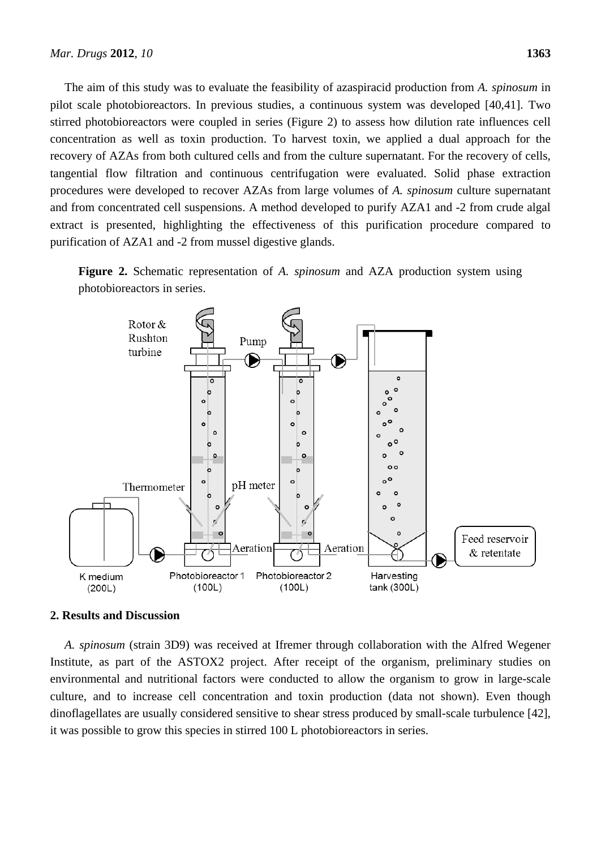The aim of this study was to evaluate the feasibility of azaspiracid production from *A. spinosum* in pilot scale photobioreactors. In previous studies, a continuous system was developed [40,41]. Two stirred photobioreactors were coupled in series (Figure 2) to assess how dilution rate influences cell concentration as well as toxin production. To harvest toxin, we applied a dual approach for the recovery of AZAs from both cultured cells and from the culture supernatant. For the recovery of cells, tangential flow filtration and continuous centrifugation were evaluated. Solid phase extraction procedures were developed to recover AZAs from large volumes of *A. spinosum* culture supernatant and from concentrated cell suspensions. A method developed to purify AZA1 and -2 from crude algal extract is presented, highlighting the effectiveness of this purification procedure compared to purification of AZA1 and -2 from mussel digestive glands.





# **2. Results and Discussion**

*A. spinosum* (strain 3D9) was received at Ifremer through collaboration with the Alfred Wegener Institute, as part of the ASTOX2 project. After receipt of the organism, preliminary studies on environmental and nutritional factors were conducted to allow the organism to grow in large-scale culture, and to increase cell concentration and toxin production (data not shown). Even though dinoflagellates are usually considered sensitive to shear stress produced by small-scale turbulence [42], it was possible to grow this species in stirred 100 L photobioreactors in series.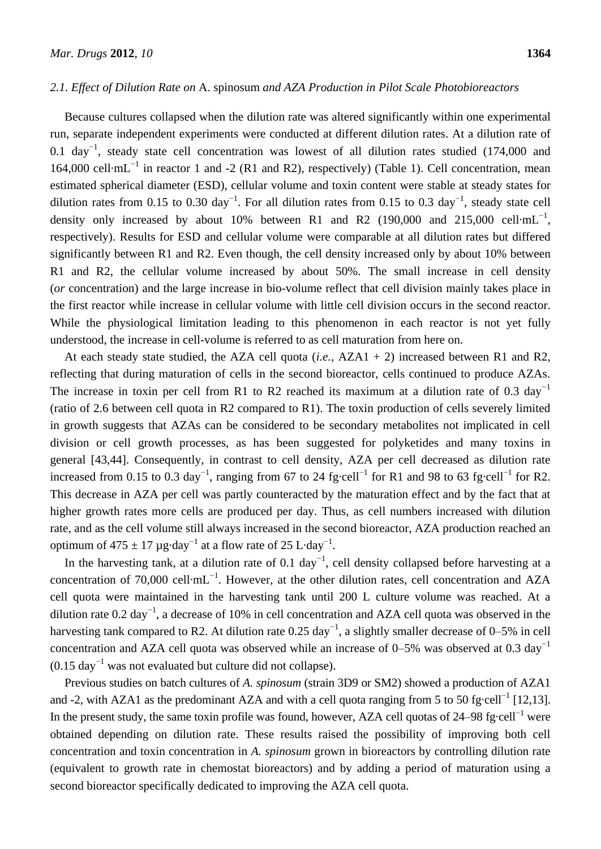## *2.1. Effect of Dilution Rate on* A. spinosum *and AZA Production in Pilot Scale Photobioreactors*

Because cultures collapsed when the dilution rate was altered significantly within one experimental run, separate independent experiments were conducted at different dilution rates. At a dilution rate of 0.1 day<sup>-1</sup>, steady state cell concentration was lowest of all dilution rates studied (174,000 and 164,000 cell mL<sup>-1</sup> in reactor 1 and -2 (R1 and R2), respectively) (Table 1). Cell concentration, mean estimated spherical diameter (ESD), cellular volume and toxin content were stable at steady states for dilution rates from 0.15 to 0.30 day<sup>-1</sup>. For all dilution rates from 0.15 to 0.3 day<sup>-1</sup>, steady state cell density only increased by about 10% between R1 and R2 (190,000 and 215,000 cell mL<sup>-1</sup>, respectively). Results for ESD and cellular volume were comparable at all dilution rates but differed significantly between R1 and R2. Even though, the cell density increased only by about 10% between R1 and R2, the cellular volume increased by about 50%. The small increase in cell density (*or* concentration) and the large increase in bio-volume reflect that cell division mainly takes place in the first reactor while increase in cellular volume with little cell division occurs in the second reactor. While the physiological limitation leading to this phenomenon in each reactor is not yet fully understood, the increase in cell-volume is referred to as cell maturation from here on.

At each steady state studied, the AZA cell quota (*i.e.*, AZA1 + 2) increased between R1 and R2, reflecting that during maturation of cells in the second bioreactor, cells continued to produce AZAs. The increase in toxin per cell from R1 to R2 reached its maximum at a dilution rate of 0.3 day<sup>-1</sup> (ratio of 2.6 between cell quota in R2 compared to R1). The toxin production of cells severely limited in growth suggests that AZAs can be considered to be secondary metabolites not implicated in cell division or cell growth processes, as has been suggested for polyketides and many toxins in general [43,44]. Consequently, in contrast to cell density, AZA per cell decreased as dilution rate increased from 0.15 to 0.3 day<sup>-1</sup>, ranging from 67 to 24 fg cell<sup>-1</sup> for R1 and 98 to 63 fg cell<sup>-1</sup> for R2. This decrease in AZA per cell was partly counteracted by the maturation effect and by the fact that at higher growth rates more cells are produced per day. Thus, as cell numbers increased with dilution rate, and as the cell volume still always increased in the second bioreactor, AZA production reached an optimum of 475  $\pm$ 17 µg day<sup>-1</sup> at a flow rate of 25 L day<sup>-1</sup>.

In the harvesting tank, at a dilution rate of 0.1 day<sup>-1</sup>, cell density collapsed before harvesting at a concentration of 70,000 cell mL<sup>-1</sup>. However, at the other dilution rates, cell concentration and AZA cell quota were maintained in the harvesting tank until 200 L culture volume was reached. At a dilution rate 0.2 day<sup>-1</sup>, a decrease of 10% in cell concentration and AZA cell quota was observed in the harvesting tank compared to R2. At dilution rate  $0.25 \text{ day}^{-1}$ , a slightly smaller decrease of 0–5% in cell concentration and AZA cell quota was observed while an increase of 0–5% was observed at 0.3 day<sup>-1</sup>  $(0.15 \text{ day}^{-1}$  was not evaluated but culture did not collapse).

Previous studies on batch cultures of *A. spinosum* (strain 3D9 or SM2) showed a production of AZA1 and -2, with AZA1 as the predominant AZA and with a cell quota ranging from 5 to 50 fg cell<sup>-1</sup> [12,13]. In the present study, the same toxin profile was found, however, AZA cell quotas of 24–98 fg cell<sup>-1</sup> were obtained depending on dilution rate. These results raised the possibility of improving both cell concentration and toxin concentration in *A. spinosum* grown in bioreactors by controlling dilution rate (equivalent to growth rate in chemostat bioreactors) and by adding a period of maturation using a second bioreactor specifically dedicated to improving the AZA cell quota.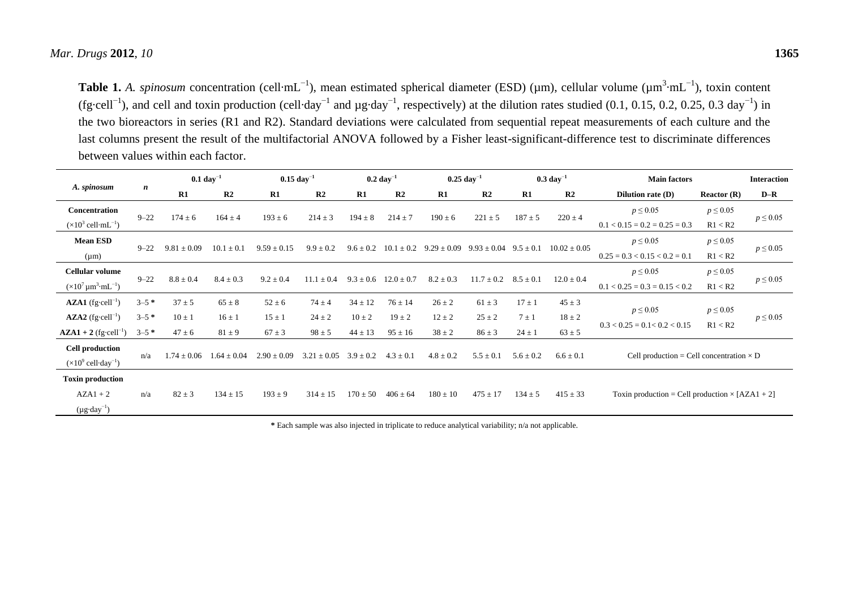Table 1. *A. spinosum* concentration (cell mL<sup>-1</sup>), mean estimated spherical diameter (ESD) (μm), cellular volume (μm<sup>3</sup> mL<sup>-1</sup>), toxin content (fg cell<sup>-1</sup>), and cell and toxin production (cell day<sup>-1</sup> and µg day<sup>-1</sup>, respectively) at the dilution rates studied (0.1, 0.15, 0.2, 0.25, 0.3 day<sup>-1</sup>) in the two bioreactors in series (R1 and R2). Standard deviations were calculated from sequential repeat measurements of each culture and the last columns present the result of the multifactorial ANOVA followed by a Fisher least-significant-difference test to discriminate differences between values within each factor.

|                                                                 |                  | $0.1 \text{ day}^{-1}$ |                 | $0.15 \text{ day}^{-1}$ |                 |               | $0.2 \text{ day}^{-1}$ | $0.25~day^{-1}$ |                 |               | $0.3 \text{ day}^{-1}$ | <b>Main factors</b>                                    |                | <b>Interaction</b>              |         |               |
|-----------------------------------------------------------------|------------------|------------------------|-----------------|-------------------------|-----------------|---------------|------------------------|-----------------|-----------------|---------------|------------------------|--------------------------------------------------------|----------------|---------------------------------|---------|---------------|
| A. spinosum                                                     | $\boldsymbol{n}$ | R1                     | R2              | R1                      | R <sub>2</sub>  | R1            | R <sub>2</sub>         | R1              | R <sub>2</sub>  | R1            | R <sub>2</sub>         | <b>Dilution rate (D)</b>                               | Reactor $(R)$  | $D-R$                           |         |               |
| <b>Concentration</b>                                            | $9 - 22$         | $174 \pm 6$            | $164 \pm 4$     | $193 \pm 6$             | $214 \pm 3$     | $194 \pm 8$   | $214 \pm 7$            | $190 \pm 6$     |                 | $187 + 5$     |                        | $p \leq 0.05$                                          | $p \leq 0.05$  |                                 |         |               |
| $(\times 10^3 \text{ cell } \text{mL}^{-1})$                    |                  |                        |                 |                         |                 |               |                        |                 | $221 \pm 5$     |               | $220 \pm 4$            | $0.1 < 0.15 = 0.2 = 0.25 = 0.3$                        | R1 < R2        | $p \leq 0.05$                   |         |               |
| <b>Mean ESD</b>                                                 |                  |                        |                 |                         |                 |               |                        |                 |                 |               |                        | $p \leq 0.05$                                          | $p \leq 0.05$  |                                 |         |               |
| $(\mu m)$                                                       | $9 - 22$         | $9.81 \pm 0.09$        | $10.1 \pm 0.1$  | $9.59 \pm 0.15$         | $9.9 \pm 0.2$   | $9.6 \pm 0.2$ | $10.1 \pm 0.2$         | $9.29 \pm 0.09$ | $9.93 \pm 0.04$ | $9.5 \pm 0.1$ | $10.02 \pm 0.05$       | $0.25 = 0.3 < 0.15 < 0.2 = 0.1$                        | R1 < R2        | $p \leq 0.05$                   |         |               |
| <b>Cellular volume</b>                                          |                  |                        |                 |                         |                 |               |                        |                 |                 |               |                        | $p \leq 0.05$                                          | $p \leq 0.05$  |                                 |         |               |
| $(\times 10^7 \,\mathrm{\mu m}^3 \,\mathrm{mL}^{-1})$           | $9 - 22$         | $8.8 \pm 0.4$          | $8.4 \pm 0.3$   | $9.2 \pm 0.4$           | $11.1 \pm 0.4$  | $9.3 + 0.6$   | $12.0 \pm 0.7$         | $8.2 \pm 0.3$   | $11.7 \pm 0.2$  |               | $8.5 \pm 0.1$          |                                                        | $12.0 \pm 0.4$ | $0.1 < 0.25 = 0.3 = 0.15 < 0.2$ | R1 < R2 | $p \leq 0.05$ |
| $\mathbf{AZA1}$ (fg cell <sup>-1</sup> )                        | $3 - 5$ *        | $37 \pm 5$             | $65 \pm 8$      | $52 \pm 6$              | $74 \pm 4$      | $34 \pm 12$   | $76 \pm 14$            | $26 \pm 2$      | $61 \pm 3$      | $17 \pm 1$    | $45 \pm 3$             |                                                        |                |                                 |         |               |
| $\mathbf{AZA2}$ (fg cell <sup>-1</sup> )                        | $3 - 5$ *        | $10 \pm 1$             | $16 \pm 1$      | $15 \pm 1$              | $24 \pm 2$      | $10 \pm 2$    | $19 \pm 2$             | $12 \pm 2$      | $25 \pm 2$      | $7 \pm 1$     | $18 \pm 2$             | $p \leq 0.05$                                          | $p \leq 0.05$  | $p \le 0.05$                    |         |               |
| ${\bf AZA1} + 2$ (fg cell <sup>-1</sup> )                       | $3 - 5$ *        | $47 \pm 6$             | $81 \pm 9$      | $67 \pm 3$              | $98 \pm 5$      | $44 \pm 13$   | $95 \pm 16$            | $38 \pm 2$      | $86 \pm 3$      | $24 \pm 1$    | $63 \pm 5$             | $0.3 < 0.25 = 0.1 < 0.2 < 0.15$                        | R1 < R2        |                                 |         |               |
| <b>Cell production</b><br>$(\times 10^9 \text{ cell day}^{-1})$ | n/a              | $1.74 + 0.06$          | $1.64 \pm 0.04$ | $2.90 \pm 0.09$         | 3.21<br>$+0.05$ | $3.9 \pm 0.2$ | $4.3 \pm 0.1$          | $4.8 \pm 0.2$   | $5.5 \pm 0.1$   | $5.6 \pm 0.2$ | $6.6 \pm 0.1$          | Cell production = Cell concentration $\times$ D        |                |                                 |         |               |
| <b>Toxin production</b>                                         |                  |                        |                 |                         |                 |               |                        |                 |                 |               |                        |                                                        |                |                                 |         |               |
| $AZA1 + 2$                                                      | n/a              | $82 \pm 3$             | $134 \pm 15$    | $193 \pm 9$             | $314 \pm 15$    | $170 + 50$    | $406 \pm 64$           | $180 \pm 10$    | $475 \pm 17$    | $134 \pm 5$   | $415 \pm 33$           | Toxin production = Cell production $\times$ [AZA1 + 2] |                |                                 |         |               |
| $(\mu g \text{ day}^{-1})$                                      |                  |                        |                 |                         |                 |               |                        |                 |                 |               |                        |                                                        |                |                                 |         |               |

**\*** Each sample was also injected in triplicate to reduce analytical variability; n/a not applicable.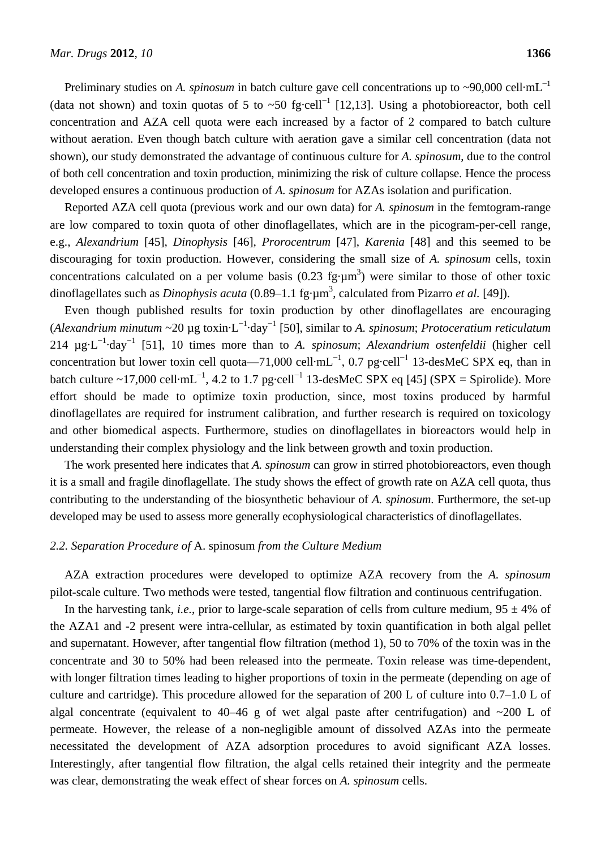Preliminary studies on *A. spinosum* in batch culture gave cell concentrations up to ~90,000 cell  $mL^{-1}$ (data not shown) and toxin quotas of 5 to ~50 fg cell<sup>-1</sup> [12,13]. Using a photobioreactor, both cell concentration and AZA cell quota were each increased by a factor of 2 compared to batch culture without aeration. Even though batch culture with aeration gave a similar cell concentration (data not shown), our study demonstrated the advantage of continuous culture for *A. spinosum*, due to the control of both cell concentration and toxin production, minimizing the risk of culture collapse. Hence the process developed ensures a continuous production of *A. spinosum* for AZAs isolation and purification.

Reported AZA cell quota (previous work and our own data) for *A. spinosum* in the femtogram-range are low compared to toxin quota of other dinoflagellates, which are in the picogram-per-cell range, e.g., *Alexandrium* [45], *Dinophysis* [46], *Prorocentrum* [47], *Karenia* [48] and this seemed to be discouraging for toxin production. However, considering the small size of *A. spinosum* cells, toxin concentrations calculated on a per volume basis (0.23 fg  $\mu$ m<sup>3</sup>) were similar to those of other toxic dinoflagellates such as *Dinophysis acuta* (0.89–1.1 fg  $\mu$ m<sup>3</sup>, calculated from Pizarro *et al.* [49]).

Even though published results for toxin production by other dinoflagellates are encouraging (*Alexandrium minutum* ~20 µg toxin·L −1·day−1 [50], similar to *A. spinosum*; *Protoceratium reticulatum* 214  $\mu$ g L<sup>-1</sup> day<sup>-1</sup> [51], 10 times more than to *A. spinosum*; *Alexandrium ostenfeldii* (higher cell concentration but lower toxin cell quota—71,000 cell mL<sup>-1</sup>, 0.7 pg cell<sup>-1</sup> 13-desMeC SPX eq, than in batch culture ~17,000 cell mL<sup>-1</sup>, 4.2 to 1.7 pg cell<sup>-1</sup> 13-desMeC SPX eq [45] (SPX = Spirolide). More effort should be made to optimize toxin production, since, most toxins produced by harmful dinoflagellates are required for instrument calibration, and further research is required on toxicology and other biomedical aspects. Furthermore, studies on dinoflagellates in bioreactors would help in understanding their complex physiology and the link between growth and toxin production.

The work presented here indicates that *A. spinosum* can grow in stirred photobioreactors, even though it is a small and fragile dinoflagellate. The study shows the effect of growth rate on AZA cell quota, thus contributing to the understanding of the biosynthetic behaviour of *A. spinosum*. Furthermore, the set-up developed may be used to assess more generally ecophysiological characteristics of dinoflagellates.

#### *2.2. Separation Procedure of* A. spinosum *from the Culture Medium*

AZA extraction procedures were developed to optimize AZA recovery from the *A. spinosum* pilot-scale culture. Two methods were tested, tangential flow filtration and continuous centrifugation.

In the harvesting tank, *i.e.*, prior to large-scale separation of cells from culture medium,  $95 \pm 4\%$  of the AZA1 and -2 present were intra-cellular, as estimated by toxin quantification in both algal pellet and supernatant. However, after tangential flow filtration (method 1), 50 to 70% of the toxin was in the concentrate and 30 to 50% had been released into the permeate. Toxin release was time-dependent, with longer filtration times leading to higher proportions of toxin in the permeate (depending on age of culture and cartridge). This procedure allowed for the separation of 200 L of culture into 0.7–1.0 L of algal concentrate (equivalent to 40–46 g of wet algal paste after centrifugation) and  $\sim$ 200 L of permeate. However, the release of a non-negligible amount of dissolved AZAs into the permeate necessitated the development of AZA adsorption procedures to avoid significant AZA losses. Interestingly, after tangential flow filtration, the algal cells retained their integrity and the permeate was clear, demonstrating the weak effect of shear forces on *A. spinosum* cells.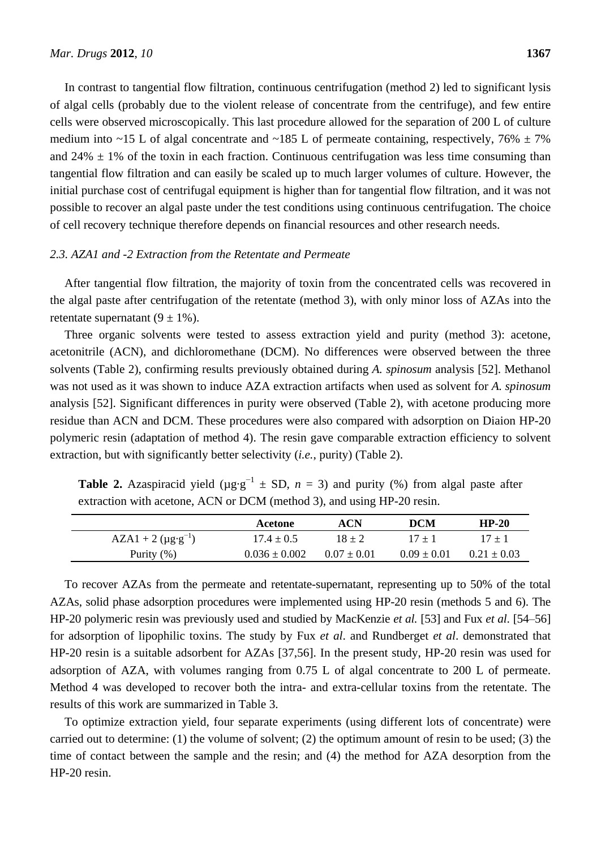In contrast to tangential flow filtration, continuous centrifugation (method 2) led to significant lysis of algal cells (probably due to the violent release of concentrate from the centrifuge), and few entire cells were observed microscopically. This last procedure allowed for the separation of 200 L of culture medium into ~15 L of algal concentrate and ~185 L of permeate containing, respectively, 76%  $\pm$  7% and 24%  $\pm$  1% of the toxin in each fraction. Continuous centrifugation was less time consuming than tangential flow filtration and can easily be scaled up to much larger volumes of culture. However, the initial purchase cost of centrifugal equipment is higher than for tangential flow filtration, and it was not possible to recover an algal paste under the test conditions using continuous centrifugation. The choice of cell recovery technique therefore depends on financial resources and other research needs.

## *2.3. AZA1 and -2 Extraction from the Retentate and Permeate*

After tangential flow filtration, the majority of toxin from the concentrated cells was recovered in the algal paste after centrifugation of the retentate (method 3), with only minor loss of AZAs into the retentate supernatant  $(9 \pm 1\%)$ .

Three organic solvents were tested to assess extraction yield and purity (method 3): acetone, acetonitrile (ACN), and dichloromethane (DCM). No differences were observed between the three solvents (Table 2), confirming results previously obtained during *A. spinosum* analysis [52]. Methanol was not used as it was shown to induce AZA extraction artifacts when used as solvent for *A. spinosum* analysis [52]. Significant differences in purity were observed (Table 2), with acetone producing more residue than ACN and DCM. These procedures were also compared with adsorption on Diaion HP-20 polymeric resin (adaptation of method 4). The resin gave comparable extraction efficiency to solvent extraction, but with significantly better selectivity (*i.e.*, purity) (Table 2).

**Table 2.** Azaspiracid yield ( $\mu$ g  $g^{-1}$   $\pm$  SD,  $n = 3$ ) and purity (%) from algal paste after extraction with acetone, ACN or DCM (method 3), and using HP-20 resin.

|                           | Acetone           | ACN             | <b>DCM</b>      | $HP-20$         |
|---------------------------|-------------------|-----------------|-----------------|-----------------|
| $AZA1 + 2 (\mu g g^{-1})$ | $17.4 \pm 0.5$    | $18 + 2$        | $17 + 1$        | $17 + 1$        |
| Purity $(\% )$            | $0.036 \pm 0.002$ | $0.07 \pm 0.01$ | $0.09 \pm 0.01$ | $0.21 \pm 0.03$ |

To recover AZAs from the permeate and retentate-supernatant, representing up to 50% of the total AZAs, solid phase adsorption procedures were implemented using HP-20 resin (methods 5 and 6). The HP-20 polymeric resin was previously used and studied by MacKenzie *et al.* [53] and Fux *et al*. [54–56] for adsorption of lipophilic toxins. The study by Fux *et al*. and Rundberget *et al*. demonstrated that HP-20 resin is a suitable adsorbent for AZAs [37,56]. In the present study, HP-20 resin was used for adsorption of AZA, with volumes ranging from 0.75 L of algal concentrate to 200 L of permeate. Method 4 was developed to recover both the intra- and extra-cellular toxins from the retentate. The results of this work are summarized in Table 3.

To optimize extraction yield, four separate experiments (using different lots of concentrate) were carried out to determine: (1) the volume of solvent; (2) the optimum amount of resin to be used; (3) the time of contact between the sample and the resin; and (4) the method for AZA desorption from the HP-20 resin.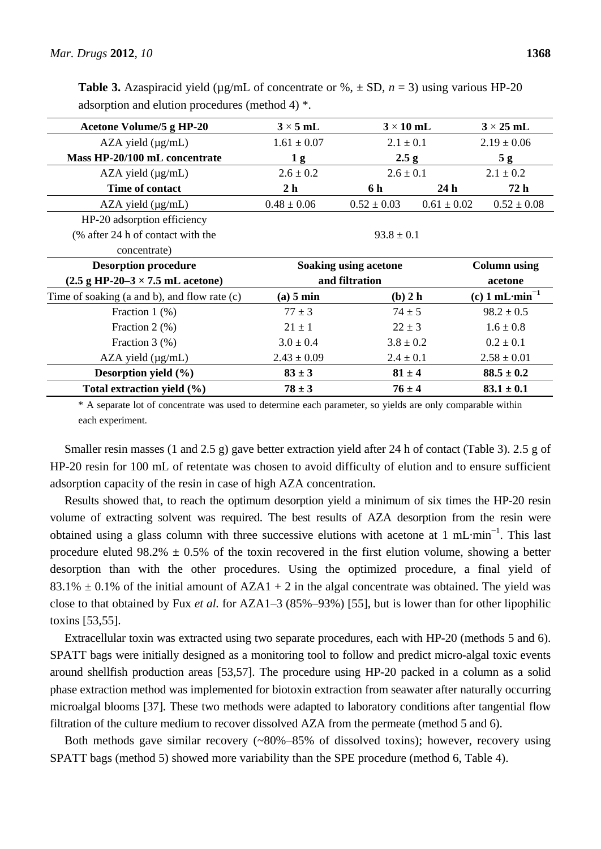| <b>Table 3.</b> Azaspiracid yield ( $\mu$ g/mL of concentrate or %, $\pm$ SD, $n = 3$ ) using various HP-20 |  |  |  |
|-------------------------------------------------------------------------------------------------------------|--|--|--|
| adsorption and elution procedures (method 4) $*$ .                                                          |  |  |  |

| Acetone Volume/5 g HP-20                                        | $3 \times 5$ mL                | $3 \times 10$ mL      |                 | $3 \times 25$ mL    |  |
|-----------------------------------------------------------------|--------------------------------|-----------------------|-----------------|---------------------|--|
| $AZA$ yield $(\mu g/mL)$                                        | $1.61 \pm 0.07$                | $2.1 \pm 0.1$         |                 | $2.19 \pm 0.06$     |  |
| Mass HP-20/100 mL concentrate                                   | 1 <sub>g</sub>                 | 2.5 g                 |                 | 5g                  |  |
| $AZA$ yield $(\mu g/mL)$                                        | $2.6 \pm 0.1$<br>$2.6 \pm 0.2$ |                       |                 | $2.1 \pm 0.2$       |  |
| Time of contact                                                 | 2 <sub>h</sub>                 | 6 h                   | 24 <sub>h</sub> | 72 h                |  |
| $AZA$ yield $(\mu g/mL)$                                        | $0.48 \pm 0.06$                | $0.52 \pm 0.03$       | $0.61 \pm 0.02$ | $0.52 \pm 0.08$     |  |
| HP-20 adsorption efficiency                                     |                                |                       |                 |                     |  |
| (% after 24 h of contact with the                               |                                | $93.8 \pm 0.1$        |                 |                     |  |
| concentrate)                                                    |                                |                       |                 |                     |  |
| <b>Desorption procedure</b>                                     |                                | Soaking using acetone |                 | <b>Column using</b> |  |
| $(2.5 \text{ g HP-20-3} \times 7.5 \text{ mL } \text{acetone})$ | and filtration                 |                       | acetone         |                     |  |
|                                                                 |                                |                       |                 |                     |  |
| Time of soaking (a and b), and flow rate (c)                    | (a) 5 min                      | $(b)$ 2 h             |                 | (c) 1 mL $min^{-1}$ |  |
| Fraction $1$ $(\%)$                                             | $77 \pm 3$                     | $74 \pm 5$            |                 | $98.2 \pm 0.5$      |  |
| Fraction $2 \left( % \right)$                                   | $21 \pm 1$                     | $22 \pm 3$            |                 | $1.6 \pm 0.8$       |  |
| Fraction $3$ (%)                                                | $3.0 \pm 0.4$                  | $3.8 \pm 0.2$         |                 | $0.2 \pm 0.1$       |  |
| $AZA$ yield $(\mu g/mL)$                                        | $2.43 \pm 0.09$                | $2.4 \pm 0.1$         |                 | $2.58 \pm 0.01$     |  |
| Desorption yield $(\% )$                                        | $83 \pm 3$                     | $81 \pm 4$            |                 | $88.5 \pm 0.2$      |  |

\* A separate lot of concentrate was used to determine each parameter, so yields are only comparable within each experiment.

Smaller resin masses (1 and 2.5 g) gave better extraction yield after 24 h of contact (Table 3). 2.5 g of HP-20 resin for 100 mL of retentate was chosen to avoid difficulty of elution and to ensure sufficient adsorption capacity of the resin in case of high AZA concentration.

Results showed that, to reach the optimum desorption yield a minimum of six times the HP-20 resin volume of extracting solvent was required. The best results of AZA desorption from the resin were obtained using a glass column with three successive elutions with acetone at 1 mL min<sup>-1</sup>. This last procedure eluted 98.2%  $\pm$  0.5% of the toxin recovered in the first elution volume, showing a better desorption than with the other procedures. Using the optimized procedure, a final yield of 83.1%  $\pm$  0.1% of the initial amount of AZA1 + 2 in the algal concentrate was obtained. The yield was close to that obtained by Fux *et al.* for AZA1–3 (85%–93%) [55], but is lower than for other lipophilic toxins [53,55].

Extracellular toxin was extracted using two separate procedures, each with HP-20 (methods 5 and 6). SPATT bags were initially designed as a monitoring tool to follow and predict micro-algal toxic events around shellfish production areas [53,57]. The procedure using HP-20 packed in a column as a solid phase extraction method was implemented for biotoxin extraction from seawater after naturally occurring microalgal blooms [37]. These two methods were adapted to laboratory conditions after tangential flow filtration of the culture medium to recover dissolved AZA from the permeate (method 5 and 6).

Both methods gave similar recovery (~80%–85% of dissolved toxins); however, recovery using SPATT bags (method 5) showed more variability than the SPE procedure (method 6, Table 4).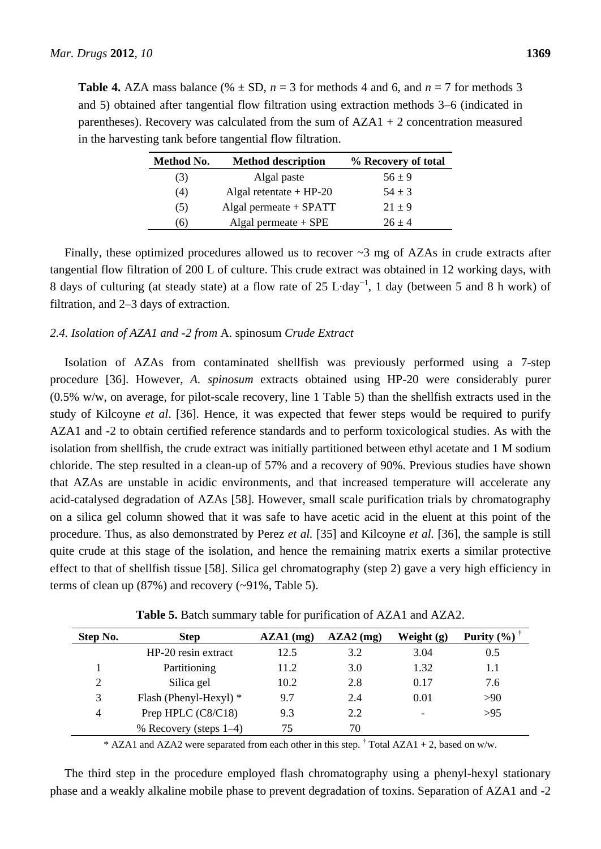**Table 4.** AZA mass balance (%  $\pm$  SD, *n* = 3 for methods 4 and 6, and *n* = 7 for methods 3 and 5) obtained after tangential flow filtration using extraction methods 3–6 (indicated in parentheses). Recovery was calculated from the sum of  $AZA1 + 2$  concentration measured in the harvesting tank before tangential flow filtration.

| Method No. | <b>Method description</b> | % Recovery of total |
|------------|---------------------------|---------------------|
| (3)        | Algal paste               | $56 \pm 9$          |
| (4)        | Algal retentate $+$ HP-20 | $54 \pm 3$          |
| (5)        | Algal permeate $+$ SPATT  | $21 \pm 9$          |
| (6)        | Algal permeate $+$ SPE    | $26 + 4$            |

Finally, these optimized procedures allowed us to recover  $\sim$ 3 mg of AZAs in crude extracts after tangential flow filtration of 200 L of culture. This crude extract was obtained in 12 working days, with 8 days of culturing (at steady state) at a flow rate of 25 L day<sup>-1</sup>, 1 day (between 5 and 8 h work) of filtration, and 2–3 days of extraction.

# *2.4. Isolation of AZA1 and -2 from* A. spinosum *Crude Extract*

Isolation of AZAs from contaminated shellfish was previously performed using a 7-step procedure [36]. However, *A. spinosum* extracts obtained using HP-20 were considerably purer (0.5% w/w, on average, for pilot-scale recovery, line 1 Table 5) than the shellfish extracts used in the study of Kilcoyne *et al*. [36]. Hence, it was expected that fewer steps would be required to purify AZA1 and -2 to obtain certified reference standards and to perform toxicological studies. As with the isolation from shellfish, the crude extract was initially partitioned between ethyl acetate and 1 M sodium chloride. The step resulted in a clean-up of 57% and a recovery of 90%. Previous studies have shown that AZAs are unstable in acidic environments, and that increased temperature will accelerate any acid-catalysed degradation of AZAs [58]. However, small scale purification trials by chromatography on a silica gel column showed that it was safe to have acetic acid in the eluent at this point of the procedure. Thus, as also demonstrated by Perez *et al.* [35] and Kilcoyne *et al.* [36], the sample is still quite crude at this stage of the isolation, and hence the remaining matrix exerts a similar protective effect to that of shellfish tissue [58]. Silica gel chromatography (step 2) gave a very high efficiency in terms of clean up (87%) and recovery (~91%, Table 5).

| Step No. | <b>Step</b>               | $AZA1$ (mg) | $AZA2$ (mg) | Weight $(g)$ | Purity $(\% )$ |
|----------|---------------------------|-------------|-------------|--------------|----------------|
|          | HP-20 resin extract       | 12.5        | 3.2         | 3.04         | 0.5            |
|          | Partitioning              | 11.2        | 3.0         | 1.32         | 1.1            |
| 2        | Silica gel                | 10.2        | 2.8         | 0.17         | 7.6            |
| 3        | Flash (Phenyl-Hexyl) *    | 9.7         | 2.4         | 0.01         | >90            |
| 4        | Prep HPLC (C8/C18)        | 9.3         | 2.2         |              | >95            |
|          | % Recovery (steps $1-4$ ) | 75          | 70          |              |                |

**Table 5.** Batch summary table for purification of AZA1 and AZA2.

\* AZA1 and AZA2 were separated from each other in this step.  $\dagger$  Total AZA1 + 2, based on w/w.

The third step in the procedure employed flash chromatography using a phenyl-hexyl stationary phase and a weakly alkaline mobile phase to prevent degradation of toxins. Separation of AZA1 and -2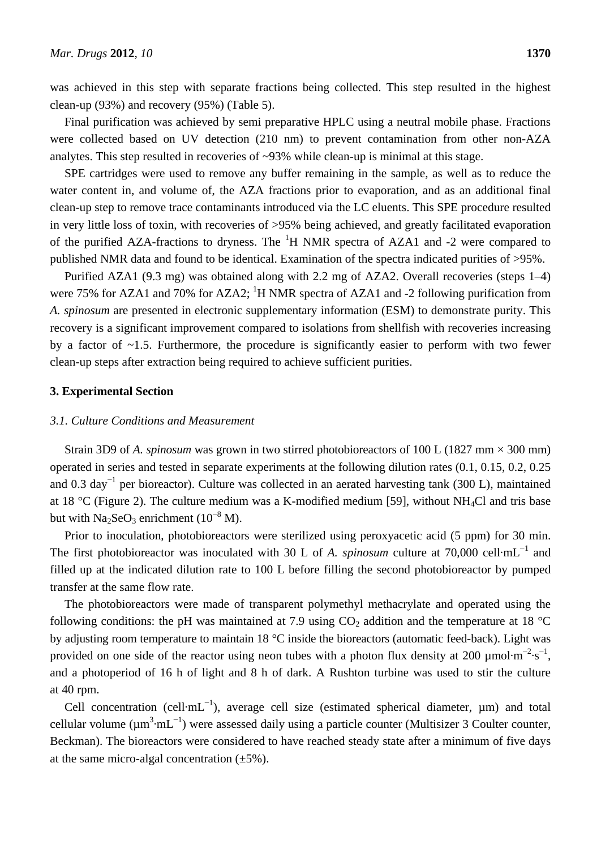was achieved in this step with separate fractions being collected. This step resulted in the highest clean-up (93%) and recovery (95%) (Table 5).

Final purification was achieved by semi preparative HPLC using a neutral mobile phase. Fractions were collected based on UV detection (210 nm) to prevent contamination from other non-AZA analytes. This step resulted in recoveries of ~93% while clean-up is minimal at this stage.

SPE cartridges were used to remove any buffer remaining in the sample, as well as to reduce the water content in, and volume of, the AZA fractions prior to evaporation, and as an additional final clean-up step to remove trace contaminants introduced via the LC eluents. This SPE procedure resulted in very little loss of toxin, with recoveries of >95% being achieved, and greatly facilitated evaporation of the purified AZA-fractions to dryness. The  ${}^{1}H$  NMR spectra of AZA1 and -2 were compared to published NMR data and found to be identical. Examination of the spectra indicated purities of >95%.

Purified AZA1 (9.3 mg) was obtained along with 2.2 mg of AZA2. Overall recoveries (steps 1–4) were 75% for AZA1 and 70% for AZA2; <sup>1</sup>H NMR spectra of AZA1 and -2 following purification from *A. spinosum* are presented in electronic supplementary information (ESM) to demonstrate purity. This recovery is a significant improvement compared to isolations from shellfish with recoveries increasing by a factor of ~1.5. Furthermore, the procedure is significantly easier to perform with two fewer clean-up steps after extraction being required to achieve sufficient purities.

# **3. Experimental Section**

#### *3.1. Culture Conditions and Measurement*

Strain 3D9 of *A. spinosum* was grown in two stirred photobioreactors of 100 L (1827 mm ×300 mm) operated in series and tested in separate experiments at the following dilution rates (0.1, 0.15, 0.2, 0.25 and 0.3 day<sup>-1</sup> per bioreactor). Culture was collected in an aerated harvesting tank (300 L), maintained at 18 °C (Figure 2). The culture medium was a K-modified medium [59], without NH<sub>4</sub>Cl and tris base but with Na<sub>2</sub>SeO<sub>3</sub> enrichment ( $10^{-8}$  M).

Prior to inoculation, photobioreactors were sterilized using peroxyacetic acid (5 ppm) for 30 min. The first photobioreactor was inoculated with 30 L of *A. spinosum* culture at 70,000 cell mL<sup>-1</sup> and filled up at the indicated dilution rate to 100 L before filling the second photobioreactor by pumped transfer at the same flow rate.

The photobioreactors were made of transparent polymethyl methacrylate and operated using the following conditions: the pH was maintained at 7.9 using  $CO<sub>2</sub>$  addition and the temperature at 18 °C by adjusting room temperature to maintain 18  $\degree$ C inside the bioreactors (automatic feed-back). Light was provided on one side of the reactor using neon tubes with a photon flux density at 200 µmol m<sup>-2</sup> s<sup>-1</sup>, and a photoperiod of 16 h of light and 8 h of dark. A Rushton turbine was used to stir the culture at 40 rpm.

Cell concentration (cell  $mL^{-1}$ ), average cell size (estimated spherical diameter,  $\mu$ m) and total cellular volume ( $\mu$ m<sup>3</sup> mL<sup>-1</sup>) were assessed daily using a particle counter (Multisizer 3 Coulter counter, Beckman). The bioreactors were considered to have reached steady state after a minimum of five days at the same micro-algal concentration  $(\pm 5\%)$ .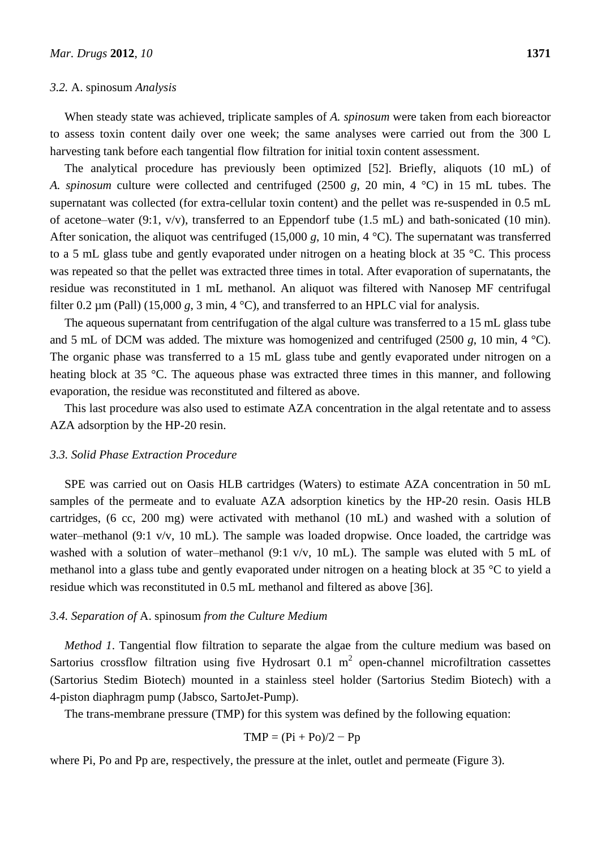#### *3.2.* A. spinosum *Analysis*

When steady state was achieved, triplicate samples of *A. spinosum* were taken from each bioreactor to assess toxin content daily over one week; the same analyses were carried out from the 300 L harvesting tank before each tangential flow filtration for initial toxin content assessment.

The analytical procedure has previously been optimized [52]. Briefly, aliquots (10 mL) of *A. spinosum* culture were collected and centrifuged (2500 *g*, 20 min, 4 °C) in 15 mL tubes. The supernatant was collected (for extra-cellular toxin content) and the pellet was re-suspended in 0.5 mL of acetone–water (9:1,  $v/v$ ), transferred to an Eppendorf tube (1.5 mL) and bath-sonicated (10 min). After sonication, the aliquot was centrifuged  $(15,000 \text{ g}, 10 \text{ min}, 4 \text{ C})$ . The supernatant was transferred to a 5 mL glass tube and gently evaporated under nitrogen on a heating block at 35 °C. This process was repeated so that the pellet was extracted three times in total. After evaporation of supernatants, the residue was reconstituted in 1 mL methanol. An aliquot was filtered with Nanosep MF centrifugal filter 0.2  $\mu$ m (Pall) (15,000 *g*, 3 min, 4 °C), and transferred to an HPLC vial for analysis.

The aqueous supernatant from centrifugation of the algal culture was transferred to a 15 mL glass tube and 5 mL of DCM was added. The mixture was homogenized and centrifuged  $(2500 g, 10 min, 4 \text{ C})$ . The organic phase was transferred to a 15 mL glass tube and gently evaporated under nitrogen on a heating block at 35 °C. The aqueous phase was extracted three times in this manner, and following evaporation, the residue was reconstituted and filtered as above.

This last procedure was also used to estimate AZA concentration in the algal retentate and to assess AZA adsorption by the HP-20 resin.

#### *3.3. Solid Phase Extraction Procedure*

SPE was carried out on Oasis HLB cartridges (Waters) to estimate AZA concentration in 50 mL samples of the permeate and to evaluate AZA adsorption kinetics by the HP-20 resin. Oasis HLB cartridges, (6 cc, 200 mg) were activated with methanol (10 mL) and washed with a solution of water–methanol (9:1 v/v, 10 mL). The sample was loaded dropwise. Once loaded, the cartridge was washed with a solution of water–methanol (9:1 v/v, 10 mL). The sample was eluted with 5 mL of methanol into a glass tube and gently evaporated under nitrogen on a heating block at 35 °C to yield a residue which was reconstituted in 0.5 mL methanol and filtered as above [36].

## *3.4. Separation of* A. spinosum *from the Culture Medium*

*Method 1*. Tangential flow filtration to separate the algae from the culture medium was based on Sartorius crossflow filtration using five Hydrosart 0.1  $m^2$  open-channel microfiltration cassettes (Sartorius Stedim Biotech) mounted in a stainless steel holder (Sartorius Stedim Biotech) with a 4-piston diaphragm pump (Jabsco, SartoJet-Pump).

The trans-membrane pressure (TMP) for this system was defined by the following equation:

$$
TMP = (Pi + Po)/2 - Pp
$$

where Pi, Po and Pp are, respectively, the pressure at the inlet, outlet and permeate (Figure 3).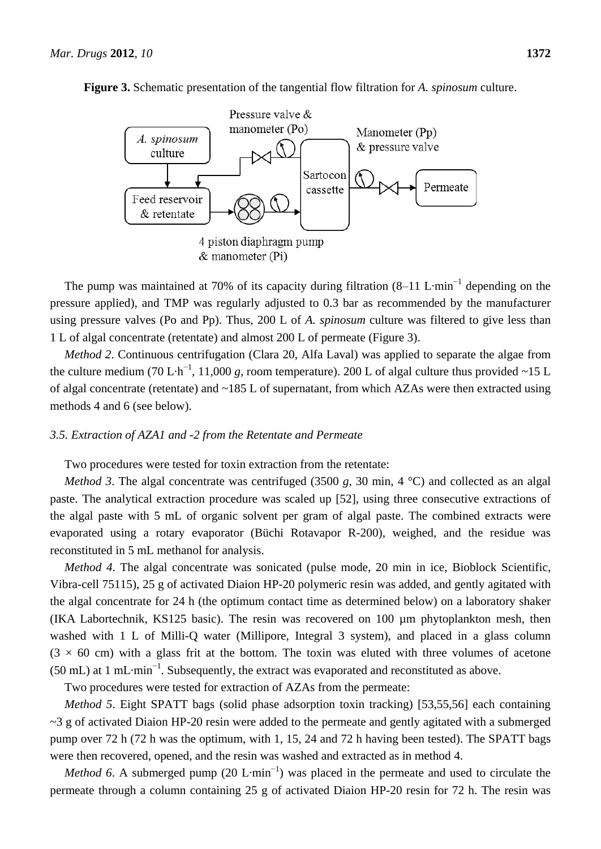

**Figure 3.** Schematic presentation of the tangential flow filtration for *A. spinosum* culture.

The pump was maintained at 70% of its capacity during filtration  $(8-11 \text{ L min}^{-1})$  depending on the pressure applied), and TMP was regularly adjusted to 0.3 bar as recommended by the manufacturer using pressure valves (Po and Pp). Thus, 200 L of *A. spinosum* culture was filtered to give less than 1 L of algal concentrate (retentate) and almost 200 L of permeate (Figure 3).

*Method 2*. Continuous centrifugation (Clara 20, Alfa Laval) was applied to separate the algae from the culture medium (70 L h<sup>-1</sup>, 11,000 *g*, room temperature). 200 L of algal culture thus provided ~15 L of algal concentrate (retentate) and ~185 L of supernatant, from which AZAs were then extracted using methods 4 and 6 (see below).

# *3.5. Extraction of AZA1 and -2 from the Retentate and Permeate*

Two procedures were tested for toxin extraction from the retentate:

*Method* 3. The algal concentrate was centrifuged (3500  $g$ , 30 min, 4 °C) and collected as an algal paste. The analytical extraction procedure was scaled up [52], using three consecutive extractions of the algal paste with 5 mL of organic solvent per gram of algal paste. The combined extracts were evaporated using a rotary evaporator (Büchi Rotavapor R-200), weighed, and the residue was reconstituted in 5 mL methanol for analysis.

*Method 4*. The algal concentrate was sonicated (pulse mode, 20 min in ice, Bioblock Scientific, Vibra-cell 75115), 25 g of activated Diaion HP-20 polymeric resin was added, and gently agitated with the algal concentrate for 24 h (the optimum contact time as determined below) on a laboratory shaker (IKA Labortechnik, KS125 basic). The resin was recovered on 100 µm phytoplankton mesh, then washed with 1 L of Milli-Q water (Millipore, Integral 3 system), and placed in a glass column  $(3 \times 60$  cm) with a glass frit at the bottom. The toxin was eluted with three volumes of acetone (50 mL) at 1 mL min<sup>-1</sup>. Subsequently, the extract was evaporated and reconstituted as above.

Two procedures were tested for extraction of AZAs from the permeate:

*Method 5*. Eight SPATT bags (solid phase adsorption toxin tracking) [53,55,56] each containing ~3 g of activated Diaion HP-20 resin were added to the permeate and gently agitated with a submerged pump over 72 h (72 h was the optimum, with 1, 15, 24 and 72 h having been tested). The SPATT bags were then recovered, opened, and the resin was washed and extracted as in method 4.

*Method* 6. A submerged pump (20 L min<sup>-1</sup>) was placed in the permeate and used to circulate the permeate through a column containing 25 g of activated Diaion HP-20 resin for 72 h. The resin was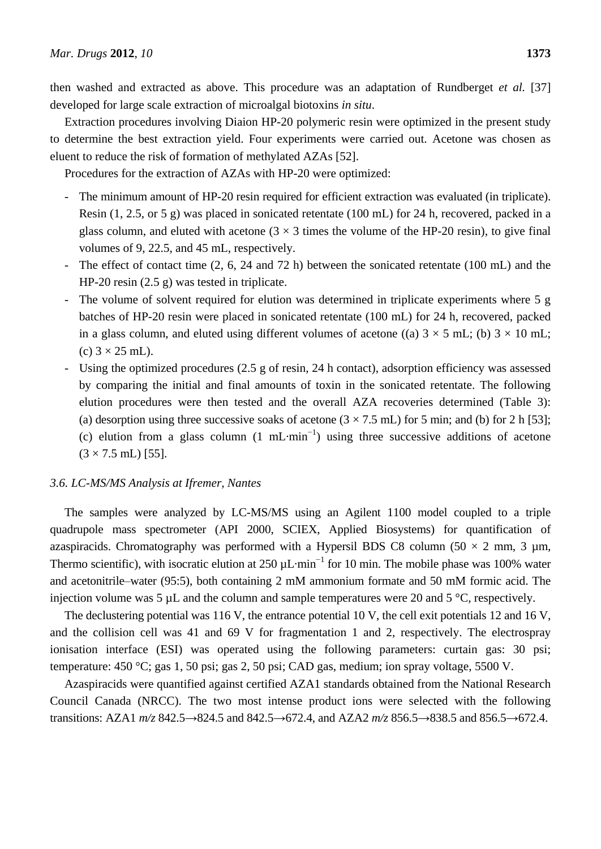then washed and extracted as above. This procedure was an adaptation of Rundberget *et al.* [37] developed for large scale extraction of microalgal biotoxins *in situ*.

Extraction procedures involving Diaion HP-20 polymeric resin were optimized in the present study to determine the best extraction yield. Four experiments were carried out. Acetone was chosen as eluent to reduce the risk of formation of methylated AZAs [52].

Procedures for the extraction of AZAs with HP-20 were optimized:

- The minimum amount of HP-20 resin required for efficient extraction was evaluated (in triplicate). Resin (1, 2.5, or 5 g) was placed in sonicated retentate (100 mL) for 24 h, recovered, packed in a glass column, and eluted with acetone  $(3 \times 3$  times the volume of the HP-20 resin), to give final volumes of 9, 22.5, and 45 mL, respectively.
- The effect of contact time (2, 6, 24 and 72 h) between the sonicated retentate (100 mL) and the HP-20 resin (2.5 g) was tested in triplicate.
- The volume of solvent required for elution was determined in triplicate experiments where 5 g batches of HP-20 resin were placed in sonicated retentate (100 mL) for 24 h, recovered, packed in a glass column, and eluted using different volumes of acetone ((a)  $3 \times 5$  mL; (b)  $3 \times 10$  mL; (c)  $3 \times 25$  mL).
- Using the optimized procedures (2.5 g of resin, 24 h contact), adsorption efficiency was assessed by comparing the initial and final amounts of toxin in the sonicated retentate. The following elution procedures were then tested and the overall AZA recoveries determined (Table 3): (a) desorption using three successive soaks of acetone  $(3 \times 7.5 \text{ mL})$  for 5 min; and (b) for 2 h [53]; (c) elution from a glass column  $(1 \text{ mL min}^{-1})$  using three successive additions of acetone  $(3 \times 7.5 \text{ mL})$  [55].

# *3.6. LC-MS/MS Analysis at Ifremer, Nantes*

The samples were analyzed by LC-MS/MS using an Agilent 1100 model coupled to a triple quadrupole mass spectrometer (API 2000, SCIEX, Applied Biosystems) for quantification of azaspiracids. Chromatography was performed with a Hypersil BDS C8 column (50  $\times$  2 mm, 3 µm, Thermo scientific), with isocratic elution at 250  $\mu$ L min<sup>-1</sup> for 10 min. The mobile phase was 100% water and acetonitrile–water (95:5), both containing 2 mM ammonium formate and 50 mM formic acid. The injection volume was 5  $\mu$ L and the column and sample temperatures were 20 and 5 °C, respectively.

The declustering potential was 116 V, the entrance potential 10 V, the cell exit potentials 12 and 16 V, and the collision cell was 41 and 69 V for fragmentation 1 and 2, respectively. The electrospray ionisation interface (ESI) was operated using the following parameters: curtain gas: 30 psi; temperature: 450 °C; gas 1, 50 psi; gas 2, 50 psi; CAD gas, medium; ion spray voltage, 5500 V.

Azaspiracids were quantified against certified AZA1 standards obtained from the National Research Council Canada (NRCC). The two most intense product ions were selected with the following transitions: AZA1 *m/z* 842.5→824.5 and 842.5→672.4, and AZA2 *m/z* 856.5→838.5 and 856.5→672.4.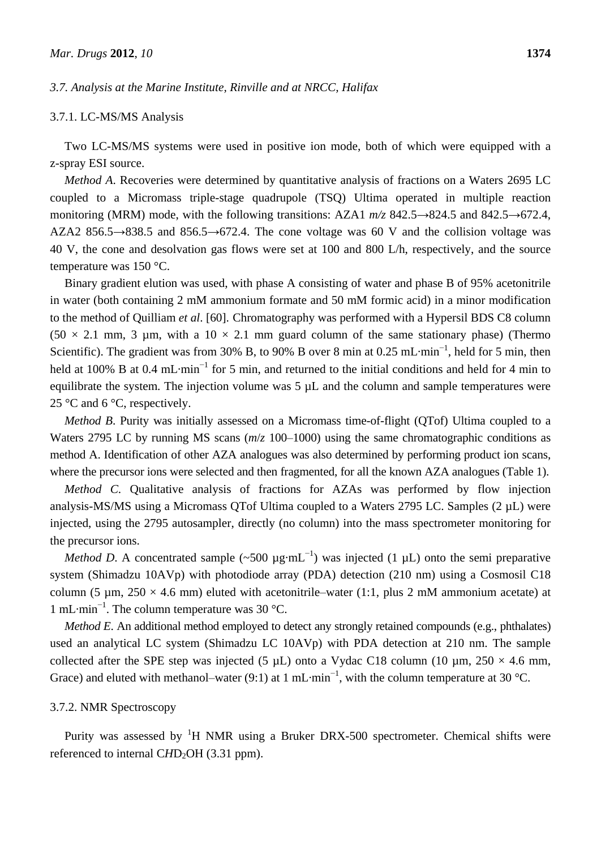## *3.7. Analysis at the Marine Institute, Rinville and at NRCC, Halifax*

#### 3.7.1. LC-MS/MS Analysis

Two LC-MS/MS systems were used in positive ion mode, both of which were equipped with a z-spray ESI source.

*Method A*. Recoveries were determined by quantitative analysis of fractions on a Waters 2695 LC coupled to a Micromass triple-stage quadrupole (TSQ) Ultima operated in multiple reaction monitoring (MRM) mode, with the following transitions: AZA1 *m/z* 842.5→824.5 and 842.5→672.4, AZA2 856.5 $\rightarrow$ 838.5 and 856.5 $\rightarrow$ 672.4. The cone voltage was 60 V and the collision voltage was 40 V, the cone and desolvation gas flows were set at 100 and 800 L/h, respectively, and the source temperature was 150  $\mathcal{C}$ .

Binary gradient elution was used, with phase A consisting of water and phase B of 95% acetonitrile in water (both containing 2 mM ammonium formate and 50 mM formic acid) in a minor modification to the method of Quilliam *et al*. [60]. Chromatography was performed with a Hypersil BDS C8 column  $(50 \times 2.1 \text{ mm}, 3 \text{ \mu m}, \text{ with a } 10 \times 2.1 \text{ mm} \text{ guard column of the same stationary phase})$  (Thermo Scientific). The gradient was from 30% B, to 90% B over 8 min at 0.25 mL min<sup>-1</sup>, held for 5 min, then held at 100% B at 0.4 mL min<sup>-1</sup> for 5 min, and returned to the initial conditions and held for 4 min to equilibrate the system. The injection volume was 5  $\mu$ L and the column and sample temperatures were 25  $\mathcal{C}$  and 6  $\mathcal{C}$ , respectively.

*Method B*. Purity was initially assessed on a Micromass time-of-flight (QTof) Ultima coupled to a Waters 2795 LC by running MS scans (*m*/*z* 100–1000) using the same chromatographic conditions as method A. Identification of other AZA analogues was also determined by performing product ion scans, where the precursor ions were selected and then fragmented, for all the known AZA analogues (Table 1).

*Method C*. Qualitative analysis of fractions for AZAs was performed by flow injection analysis-MS/MS using a Micromass QTof Ultima coupled to a Waters 2795 LC. Samples (2 µL) were injected, using the 2795 autosampler, directly (no column) into the mass spectrometer monitoring for the precursor ions.

*Method D*. A concentrated sample (~500 µg mL<sup>-1</sup>) was injected (1 µL) onto the semi preparative system (Shimadzu 10AVp) with photodiode array (PDA) detection (210 nm) using a Cosmosil C18 column (5 µm,  $250 \times 4.6$  mm) eluted with acetonitrile–water (1:1, plus 2 mM ammonium acetate) at 1 mL min<sup>-1</sup>. The column temperature was 30 °C.

*Method E*. An additional method employed to detect any strongly retained compounds (e.g., phthalates) used an analytical LC system (Shimadzu LC 10AVp) with PDA detection at 210 nm. The sample collected after the SPE step was injected (5  $\mu$ L) onto a Vydac C18 column (10  $\mu$ m, 250  $\times$  4.6 mm, Grace) and eluted with methanol–water (9:1) at 1 mL min<sup>-1</sup>, with the column temperature at 30 °C.

## 3.7.2. NMR Spectroscopy

Purity was assessed by  ${}^{1}H$  NMR using a Bruker DRX-500 spectrometer. Chemical shifts were referenced to internal CHD<sub>2</sub>OH (3.31 ppm).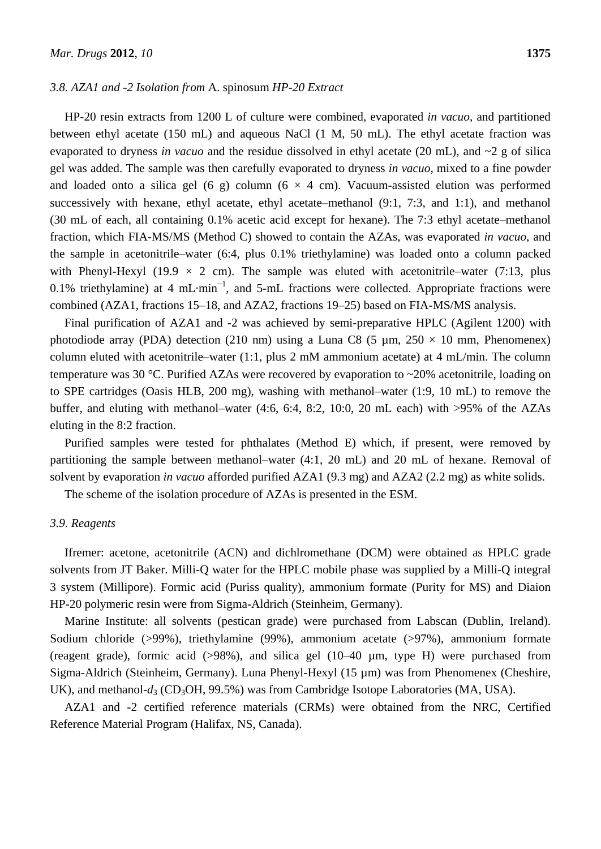## *3.8. AZA1 and -2 Isolation from* A. spinosum *HP-20 Extract*

HP-20 resin extracts from 1200 L of culture were combined, evaporated *in vacuo*, and partitioned between ethyl acetate (150 mL) and aqueous NaCl (1 M, 50 mL). The ethyl acetate fraction was evaporated to dryness *in vacuo* and the residue dissolved in ethyl acetate (20 mL), and ~2 g of silica gel was added. The sample was then carefully evaporated to dryness *in vacuo*, mixed to a fine powder and loaded onto a silica gel (6 g) column (6  $\times$  4 cm). Vacuum-assisted elution was performed successively with hexane, ethyl acetate, ethyl acetate–methanol  $(9:1, 7:3,$  and 1:1), and methanol (30 mL of each, all containing 0.1% acetic acid except for hexane). The 7:3 ethyl acetate–methanol fraction, which FIA-MS/MS (Method C) showed to contain the AZAs, was evaporated *in vacuo*, and the sample in acetonitrile–water (6:4, plus 0.1% triethylamine) was loaded onto a column packed with Phenyl-Hexyl (19.9  $\times$  2 cm). The sample was eluted with acetonitrile–water (7:13, plus 0.1% triethylamine) at 4 mL min<sup>-1</sup>, and 5-mL fractions were collected. Appropriate fractions were combined (AZA1, fractions 15–18, and AZA2, fractions 19–25) based on FIA-MS/MS analysis.

Final purification of AZA1 and -2 was achieved by semi-preparative HPLC (Agilent 1200) with photodiode array (PDA) detection (210 nm) using a Luna C8 (5  $\mu$ m, 250  $\times$  10 mm, Phenomenex) column eluted with acetonitrile–water (1:1, plus 2 mM ammonium acetate) at 4 mL/min. The column temperature was 30 °C. Purified AZAs were recovered by evaporation to ~20% acetonitrile, loading on to SPE cartridges (Oasis HLB, 200 mg), washing with methanol–water (1:9, 10 mL) to remove the buffer, and eluting with methanol–water (4:6, 6:4, 8:2, 10:0, 20 mL each) with >95% of the AZAs eluting in the 8:2 fraction.

Purified samples were tested for phthalates (Method E) which, if present, were removed by partitioning the sample between methanol–water (4:1, 20 mL) and 20 mL of hexane. Removal of solvent by evaporation *in vacuo* afforded purified AZA1 (9.3 mg) and AZA2 (2.2 mg) as white solids.

The scheme of the isolation procedure of AZAs is presented in the ESM.

## *3.9. Reagents*

Ifremer: acetone, acetonitrile (ACN) and dichlromethane (DCM) were obtained as HPLC grade solvents from JT Baker. Milli-Q water for the HPLC mobile phase was supplied by a Milli-Q integral 3 system (Millipore). Formic acid (Puriss quality), ammonium formate (Purity for MS) and Diaion HP-20 polymeric resin were from Sigma-Aldrich (Steinheim, Germany).

Marine Institute: all solvents (pestican grade) were purchased from Labscan (Dublin, Ireland). Sodium chloride (>99%), triethylamine (99%), ammonium acetate (>97%), ammonium formate (reagent grade), formic acid (>98%), and silica gel (10–40 µm, type H) were purchased from Sigma-Aldrich (Steinheim, Germany). Luna Phenyl-Hexyl (15 µm) was from Phenomenex (Cheshire, UK), and methanol- $d_3$  (CD<sub>3</sub>OH, 99.5%) was from Cambridge Isotope Laboratories (MA, USA).

AZA1 and -2 certified reference materials (CRMs) were obtained from the NRC, Certified Reference Material Program (Halifax, NS, Canada).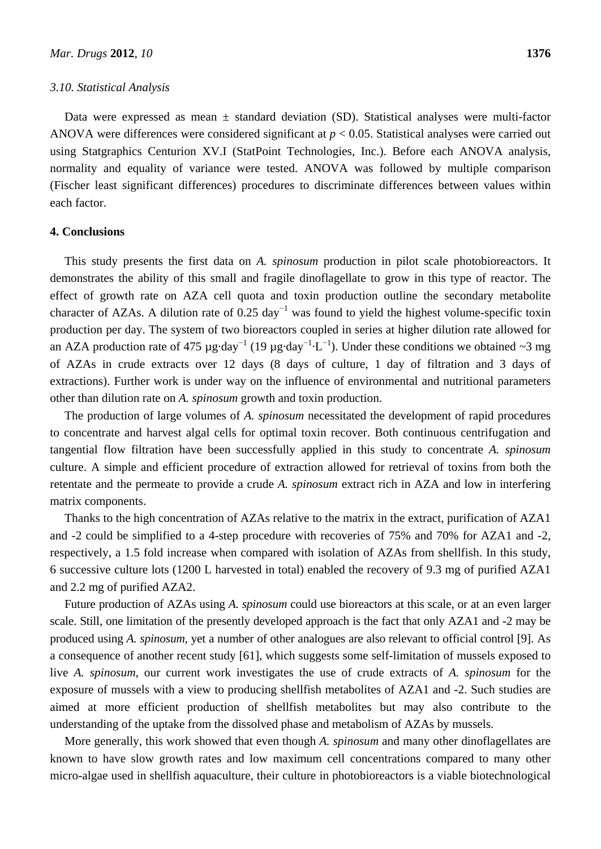#### *3.10. Statistical Analysis*

Data were expressed as mean  $\pm$  standard deviation (SD). Statistical analyses were multi-factor ANOVA were differences were considered significant at *p* < 0.05. Statistical analyses were carried out using Statgraphics Centurion XV.I (StatPoint Technologies, Inc.). Before each ANOVA analysis, normality and equality of variance were tested. ANOVA was followed by multiple comparison (Fischer least significant differences) procedures to discriminate differences between values within each factor.

## **4. Conclusions**

This study presents the first data on *A. spinosum* production in pilot scale photobioreactors. It demonstrates the ability of this small and fragile dinoflagellate to grow in this type of reactor. The effect of growth rate on AZA cell quota and toxin production outline the secondary metabolite character of AZAs. A dilution rate of 0.25 day<sup>-1</sup> was found to yield the highest volume-specific toxin production per day. The system of two bioreactors coupled in series at higher dilution rate allowed for an AZA production rate of 475 µg day<sup>-1</sup> (19 µg day<sup>-1</sup> L<sup>-1</sup>). Under these conditions we obtained ~3 mg of AZAs in crude extracts over 12 days (8 days of culture, 1 day of filtration and 3 days of extractions). Further work is under way on the influence of environmental and nutritional parameters other than dilution rate on *A. spinosum* growth and toxin production.

The production of large volumes of *A. spinosum* necessitated the development of rapid procedures to concentrate and harvest algal cells for optimal toxin recover. Both continuous centrifugation and tangential flow filtration have been successfully applied in this study to concentrate *A. spinosum* culture. A simple and efficient procedure of extraction allowed for retrieval of toxins from both the retentate and the permeate to provide a crude *A. spinosum* extract rich in AZA and low in interfering matrix components.

Thanks to the high concentration of AZAs relative to the matrix in the extract, purification of AZA1 and -2 could be simplified to a 4-step procedure with recoveries of 75% and 70% for AZA1 and -2, respectively, a 1.5 fold increase when compared with isolation of AZAs from shellfish. In this study, 6 successive culture lots (1200 L harvested in total) enabled the recovery of 9.3 mg of purified AZA1 and 2.2 mg of purified AZA2.

Future production of AZAs using *A. spinosum* could use bioreactors at this scale, or at an even larger scale. Still, one limitation of the presently developed approach is the fact that only AZA1 and -2 may be produced using *A. spinosum*, yet a number of other analogues are also relevant to official control [9]. As a consequence of another recent study [61], which suggests some self-limitation of mussels exposed to live *A. spinosum*, our current work investigates the use of crude extracts of *A. spinosum* for the exposure of mussels with a view to producing shellfish metabolites of AZA1 and -2. Such studies are aimed at more efficient production of shellfish metabolites but may also contribute to the understanding of the uptake from the dissolved phase and metabolism of AZAs by mussels.

More generally, this work showed that even though *A. spinosum* and many other dinoflagellates are known to have slow growth rates and low maximum cell concentrations compared to many other micro-algae used in shellfish aquaculture, their culture in photobioreactors is a viable biotechnological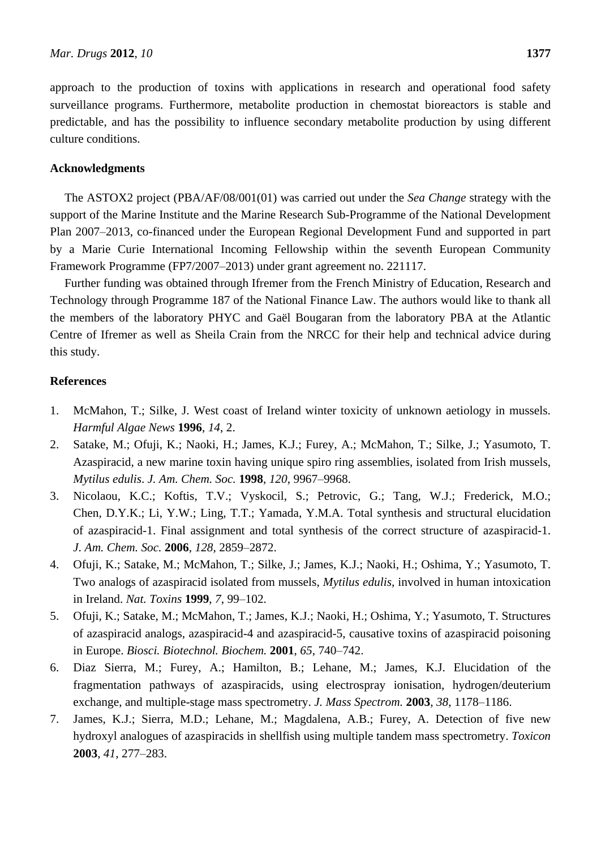approach to the production of toxins with applications in research and operational food safety surveillance programs. Furthermore, metabolite production in chemostat bioreactors is stable and predictable, and has the possibility to influence secondary metabolite production by using different culture conditions.

## **Acknowledgments**

The ASTOX2 project (PBA/AF/08/001(01) was carried out under the *Sea Change* strategy with the support of the Marine Institute and the Marine Research Sub-Programme of the National Development Plan 2007–2013, co-financed under the European Regional Development Fund and supported in part by a Marie Curie International Incoming Fellowship within the seventh European Community Framework Programme (FP7/2007–2013) under grant agreement no. 221117.

Further funding was obtained through Ifremer from the French Ministry of Education, Research and Technology through Programme 187 of the National Finance Law. The authors would like to thank all the members of the laboratory PHYC and Gaël Bougaran from the laboratory PBA at the Atlantic Centre of Ifremer as well as Sheila Crain from the NRCC for their help and technical advice during this study.

# **References**

- 1. McMahon, T.; Silke, J. West coast of Ireland winter toxicity of unknown aetiology in mussels. *Harmful Algae News* **1996**, *14*, 2.
- 2. Satake, M.; Ofuji, K.; Naoki, H.; James, K.J.; Furey, A.; McMahon, T.; Silke, J.; Yasumoto, T. Azaspiracid, a new marine toxin having unique spiro ring assemblies, isolated from Irish mussels, *Mytilus edulis*. *J. Am. Chem. Soc.* **1998**, *120*, 9967–9968.
- 3. Nicolaou, K.C.; Koftis, T.V.; Vyskocil, S.; Petrovic, G.; Tang, W.J.; Frederick, M.O.; Chen, D.Y.K.; Li, Y.W.; Ling, T.T.; Yamada, Y.M.A. Total synthesis and structural elucidation of azaspiracid-1. Final assignment and total synthesis of the correct structure of azaspiracid-1. *J. Am. Chem. Soc.* **2006**, *128*, 2859–2872.
- 4. Ofuji, K.; Satake, M.; McMahon, T.; Silke, J.; James, K.J.; Naoki, H.; Oshima, Y.; Yasumoto, T. Two analogs of azaspiracid isolated from mussels, *Mytilus edulis*, involved in human intoxication in Ireland. *Nat. Toxins* **1999**, *7*, 99–102.
- 5. Ofuji, K.; Satake, M.; McMahon, T.; James, K.J.; Naoki, H.; Oshima, Y.; Yasumoto, T. Structures of azaspiracid analogs, azaspiracid-4 and azaspiracid-5, causative toxins of azaspiracid poisoning in Europe. *Biosci. Biotechnol. Biochem.* **2001**, *65*, 740–742.
- 6. Diaz Sierra, M.; Furey, A.; Hamilton, B.; Lehane, M.; James, K.J. Elucidation of the fragmentation pathways of azaspiracids, using electrospray ionisation, hydrogen/deuterium exchange, and multiple-stage mass spectrometry. *J. Mass Spectrom.* **2003**, *38*, 1178–1186.
- 7. James, K.J.; Sierra, M.D.; Lehane, M.; Magdalena, A.B.; Furey, A. Detection of five new hydroxyl analogues of azaspiracids in shellfish using multiple tandem mass spectrometry. *Toxicon* **2003**, *41*, 277–283.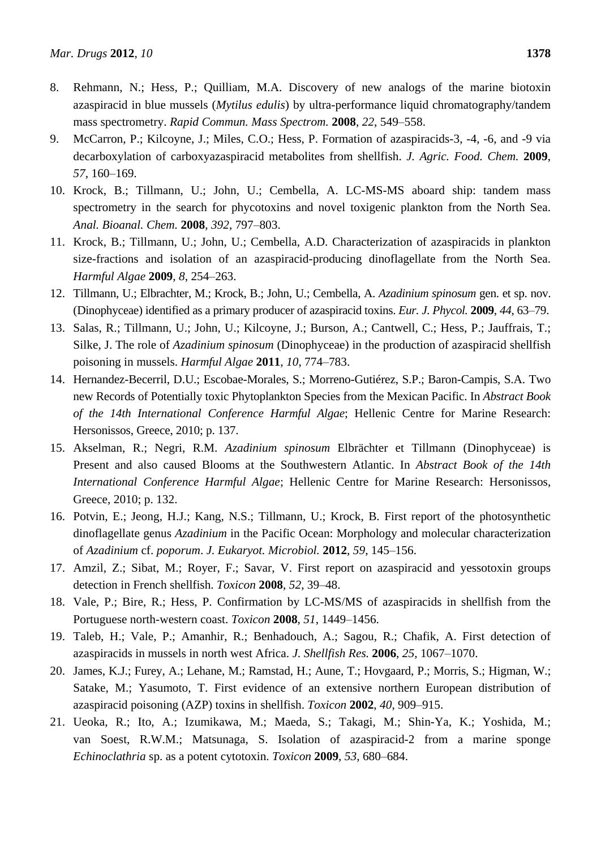- 8. Rehmann, N.; Hess, P.; Quilliam, M.A. Discovery of new analogs of the marine biotoxin azaspiracid in blue mussels (*Mytilus edulis*) by ultra-performance liquid chromatography/tandem mass spectrometry. *Rapid Commun. Mass Spectrom.* **2008**, *22*, 549–558.
- 9. McCarron, P.; Kilcoyne, J.; Miles, C.O.; Hess, P. Formation of azaspiracids-3, -4, -6, and -9 via decarboxylation of carboxyazaspiracid metabolites from shellfish. *J. Agric. Food. Chem.* **2009**, *57*, 160–169.
- 10. Krock, B.; Tillmann, U.; John, U.; Cembella, A. LC-MS-MS aboard ship: tandem mass spectrometry in the search for phycotoxins and novel toxigenic plankton from the North Sea. *Anal. Bioanal. Chem.* **2008**, *392*, 797–803.
- 11. Krock, B.; Tillmann, U.; John, U.; Cembella, A.D. Characterization of azaspiracids in plankton size-fractions and isolation of an azaspiracid-producing dinoflagellate from the North Sea. *Harmful Algae* **2009**, *8*, 254–263.
- 12. Tillmann, U.; Elbrachter, M.; Krock, B.; John, U.; Cembella, A. *Azadinium spinosum* gen. et sp. nov. (Dinophyceae) identified as a primary producer of azaspiracid toxins. *Eur. J. Phycol.* **2009**, *44*, 63–79.
- 13. Salas, R.; Tillmann, U.; John, U.; Kilcoyne, J.; Burson, A.; Cantwell, C.; Hess, P.; Jauffrais, T.; Silke, J. The role of *Azadinium spinosum* (Dinophyceae) in the production of azaspiracid shellfish poisoning in mussels. *Harmful Algae* **2011**, *10*, 774–783.
- 14. Hernandez-Becerril, D.U.; Escobae-Morales, S.; Morreno-Gutiérez, S.P.; Baron-Campis, S.A. Two new Records of Potentially toxic Phytoplankton Species from the Mexican Pacific. In *Abstract Book of the 14th International Conference Harmful Algae*; Hellenic Centre for Marine Research: Hersonissos, Greece, 2010; p. 137.
- 15. Akselman, R.; Negri, R.M. *Azadinium spinosum* Elbrächter et Tillmann (Dinophyceae) is Present and also caused Blooms at the Southwestern Atlantic. In *Abstract Book of the 14th International Conference Harmful Algae*; Hellenic Centre for Marine Research: Hersonissos, Greece, 2010; p. 132.
- 16. Potvin, E.; Jeong, H.J.; Kang, N.S.; Tillmann, U.; Krock, B. First report of the photosynthetic dinoflagellate genus *Azadinium* in the Pacific Ocean: Morphology and molecular characterization of *Azadinium* cf. *poporum*. *J. Eukaryot. Microbiol.* **2012**, *59*, 145–156.
- 17. Amzil, Z.; Sibat, M.; Royer, F.; Savar, V. First report on azaspiracid and yessotoxin groups detection in French shellfish. *Toxicon* **2008**, *52*, 39–48.
- 18. Vale, P.; Bire, R.; Hess, P. Confirmation by LC-MS/MS of azaspiracids in shellfish from the Portuguese north-western coast. *Toxicon* **2008**, *51*, 1449–1456.
- 19. Taleb, H.; Vale, P.; Amanhir, R.; Benhadouch, A.; Sagou, R.; Chafik, A. First detection of azaspiracids in mussels in north west Africa. *J. Shellfish Res.* **2006**, *25*, 1067–1070.
- 20. James, K.J.; Furey, A.; Lehane, M.; Ramstad, H.; Aune, T.; Hovgaard, P.; Morris, S.; Higman, W.; Satake, M.; Yasumoto, T. First evidence of an extensive northern European distribution of azaspiracid poisoning (AZP) toxins in shellfish. *Toxicon* **2002**, *40*, 909–915.
- 21. Ueoka, R.; Ito, A.; Izumikawa, M.; Maeda, S.; Takagi, M.; Shin-Ya, K.; Yoshida, M.; van Soest, R.W.M.; Matsunaga, S. Isolation of azaspiracid-2 from a marine sponge *Echinoclathria* sp. as a potent cytotoxin. *Toxicon* **2009**, *53*, 680–684.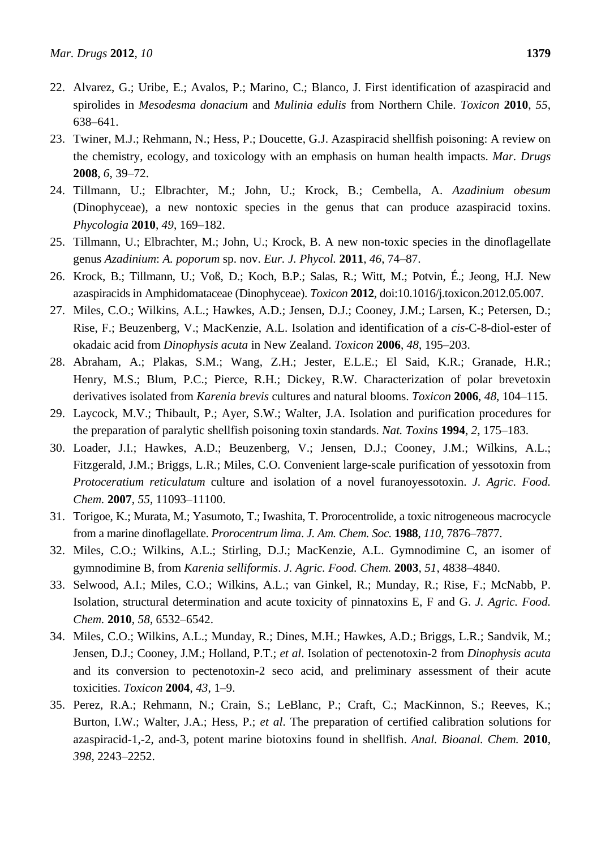- 22. Alvarez, G.; Uribe, E.; Avalos, P.; Marino, C.; Blanco, J. First identification of azaspiracid and spirolides in *Mesodesma donacium* and *Mulinia edulis* from Northern Chile. *Toxicon* **2010**, *55*, 638–641.
- 23. Twiner, M.J.; Rehmann, N.; Hess, P.; Doucette, G.J. Azaspiracid shellfish poisoning: A review on the chemistry, ecology, and toxicology with an emphasis on human health impacts. *Mar. Drugs* **2008**, *6*, 39–72.
- 24. Tillmann, U.; Elbrachter, M.; John, U.; Krock, B.; Cembella, A. *Azadinium obesum* (Dinophyceae), a new nontoxic species in the genus that can produce azaspiracid toxins. *Phycologia* **2010**, *49*, 169–182.
- 25. Tillmann, U.; Elbrachter, M.; John, U.; Krock, B. A new non-toxic species in the dinoflagellate genus *Azadinium*: *A. poporum* sp. nov. *Eur. J. Phycol.* **2011**, *46*, 74–87.
- 26. Krock, B.; Tillmann, U.; Voß, D.; Koch, B.P.; Salas, R.; Witt, M.; Potvin, É.; Jeong, H.J. New azaspiracids in Amphidomataceae (Dinophyceae). *Toxicon* **2012**, doi:10.1016/j.toxicon.2012.05.007.
- 27. Miles, C.O.; Wilkins, A.L.; Hawkes, A.D.; Jensen, D.J.; Cooney, J.M.; Larsen, K.; Petersen, D.; Rise, F.; Beuzenberg, V.; MacKenzie, A.L. Isolation and identification of a *cis*-C-8-diol-ester of okadaic acid from *Dinophysis acuta* in New Zealand. *Toxicon* **2006**, *48*, 195–203.
- 28. Abraham, A.; Plakas, S.M.; Wang, Z.H.; Jester, E.L.E.; El Said, K.R.; Granade, H.R.; Henry, M.S.; Blum, P.C.; Pierce, R.H.; Dickey, R.W. Characterization of polar brevetoxin derivatives isolated from *Karenia brevis* cultures and natural blooms. *Toxicon* **2006**, *48*, 104–115.
- 29. Laycock, M.V.; Thibault, P.; Ayer, S.W.; Walter, J.A. Isolation and purification procedures for the preparation of paralytic shellfish poisoning toxin standards. *Nat. Toxins* **1994**, *2*, 175–183.
- 30. Loader, J.I.; Hawkes, A.D.; Beuzenberg, V.; Jensen, D.J.; Cooney, J.M.; Wilkins, A.L.; Fitzgerald, J.M.; Briggs, L.R.; Miles, C.O. Convenient large-scale purification of yessotoxin from *Protoceratium reticulatum* culture and isolation of a novel furanoyessotoxin. *J. Agric. Food. Chem.* **2007**, *55*, 11093–11100.
- 31. Torigoe, K.; Murata, M.; Yasumoto, T.; Iwashita, T. Prorocentrolide, a toxic nitrogeneous macrocycle from a marine dinoflagellate. *Prorocentrum lima*. *J. Am. Chem. Soc.* **1988**, *110*, 7876–7877.
- 32. Miles, C.O.; Wilkins, A.L.; Stirling, D.J.; MacKenzie, A.L. Gymnodimine C, an isomer of gymnodimine B, from *Karenia selliformis*. *J. Agric. Food. Chem.* **2003**, *51*, 4838–4840.
- 33. Selwood, A.I.; Miles, C.O.; Wilkins, A.L.; van Ginkel, R.; Munday, R.; Rise, F.; McNabb, P. Isolation, structural determination and acute toxicity of pinnatoxins E, F and G. *J. Agric. Food. Chem.* **2010**, *58*, 6532–6542.
- 34. Miles, C.O.; Wilkins, A.L.; Munday, R.; Dines, M.H.; Hawkes, A.D.; Briggs, L.R.; Sandvik, M.; Jensen, D.J.; Cooney, J.M.; Holland, P.T.; *et al*. Isolation of pectenotoxin-2 from *Dinophysis acuta* and its conversion to pectenotoxin-2 seco acid, and preliminary assessment of their acute toxicities. *Toxicon* **2004**, *43*, 1–9.
- 35. Perez, R.A.; Rehmann, N.; Crain, S.; LeBlanc, P.; Craft, C.; MacKinnon, S.; Reeves, K.; Burton, I.W.; Walter, J.A.; Hess, P.; *et al*. The preparation of certified calibration solutions for azaspiracid-1,-2, and-3, potent marine biotoxins found in shellfish. *Anal. Bioanal. Chem.* **2010**, *398*, 2243–2252.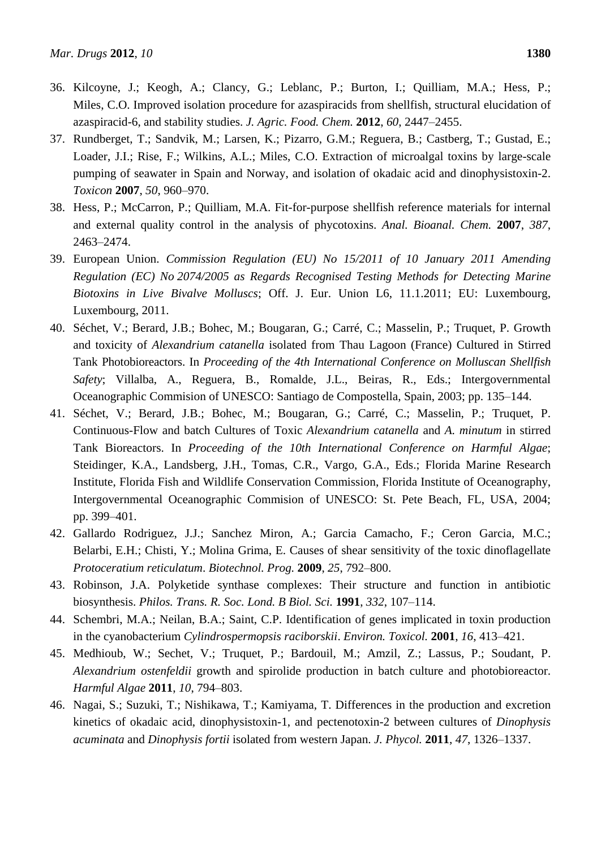- 36. Kilcoyne, J.; Keogh, A.; Clancy, G.; Leblanc, P.; Burton, I.; Quilliam, M.A.; Hess, P.; Miles, C.O. Improved isolation procedure for azaspiracids from shellfish, structural elucidation of azaspiracid-6, and stability studies. *J. Agric. Food. Chem.* **2012**, *60*, 2447–2455.
- 37. Rundberget, T.; Sandvik, M.; Larsen, K.; Pizarro, G.M.; Reguera, B.; Castberg, T.; Gustad, E.; Loader, J.I.; Rise, F.; Wilkins, A.L.; Miles, C.O. Extraction of microalgal toxins by large-scale pumping of seawater in Spain and Norway, and isolation of okadaic acid and dinophysistoxin-2. *Toxicon* **2007**, *50*, 960–970.
- 38. Hess, P.; McCarron, P.; Quilliam, M.A. Fit-for-purpose shellfish reference materials for internal and external quality control in the analysis of phycotoxins. *Anal. Bioanal. Chem.* **2007**, *387*, 2463–2474.
- 39. European Union. *Commission Regulation (EU) No 15/2011 of 10 January 2011 Amending Regulation (EC) No 2074/2005 as Regards Recognised Testing Methods for Detecting Marine Biotoxins in Live Bivalve Molluscs*; Off. J. Eur. Union L6, 11.1.2011; EU: Luxembourg, Luxembourg, 2011.
- 40. Séchet, V.; Berard, J.B.; Bohec, M.; Bougaran, G.; Carré, C.; Masselin, P.; Truquet, P. Growth and toxicity of *Alexandrium catanella* isolated from Thau Lagoon (France) Cultured in Stirred Tank Photobioreactors. In *Proceeding of the 4th International Conference on Molluscan Shellfish Safety*; Villalba, A., Reguera, B., Romalde, J.L., Beiras, R., Eds.; Intergovernmental Oceanographic Commision of UNESCO: Santiago de Compostella, Spain, 2003; pp. 135–144.
- 41. Séchet, V.; Berard, J.B.; Bohec, M.; Bougaran, G.; Carré, C.; Masselin, P.; Truquet, P. Continuous-Flow and batch Cultures of Toxic *Alexandrium catanella* and *A. minutum* in stirred Tank Bioreactors. In *Proceeding of the 10th International Conference on Harmful Algae*; Steidinger, K.A., Landsberg, J.H., Tomas, C.R., Vargo, G.A., Eds.; Florida Marine Research Institute, Florida Fish and Wildlife Conservation Commission, Florida Institute of Oceanography, Intergovernmental Oceanographic Commision of UNESCO: St. Pete Beach, FL, USA, 2004; pp. 399–401.
- 42. Gallardo Rodriguez, J.J.; Sanchez Miron, A.; Garcia Camacho, F.; Ceron Garcia, M.C.; Belarbi, E.H.; Chisti, Y.; Molina Grima, E. Causes of shear sensitivity of the toxic dinoflagellate *Protoceratium reticulatum*. *Biotechnol. Prog.* **2009**, *25*, 792–800.
- 43. Robinson, J.A. Polyketide synthase complexes: Their structure and function in antibiotic biosynthesis. *Philos. Trans. R. Soc. Lond. B Biol. Sci.* **1991**, *332*, 107–114.
- 44. Schembri, M.A.; Neilan, B.A.; Saint, C.P. Identification of genes implicated in toxin production in the cyanobacterium *Cylindrospermopsis raciborskii*. *Environ. Toxicol.* **2001**, *16*, 413–421.
- 45. Medhioub, W.; Sechet, V.; Truquet, P.; Bardouil, M.; Amzil, Z.; Lassus, P.; Soudant, P. *Alexandrium ostenfeldii* growth and spirolide production in batch culture and photobioreactor. *Harmful Algae* **2011**, *10*, 794–803.
- 46. Nagai, S.; Suzuki, T.; Nishikawa, T.; Kamiyama, T. Differences in the production and excretion kinetics of okadaic acid, dinophysistoxin-1, and pectenotoxin-2 between cultures of *Dinophysis acuminata* and *Dinophysis fortii* isolated from western Japan. *J. Phycol.* **2011**, *47*, 1326–1337.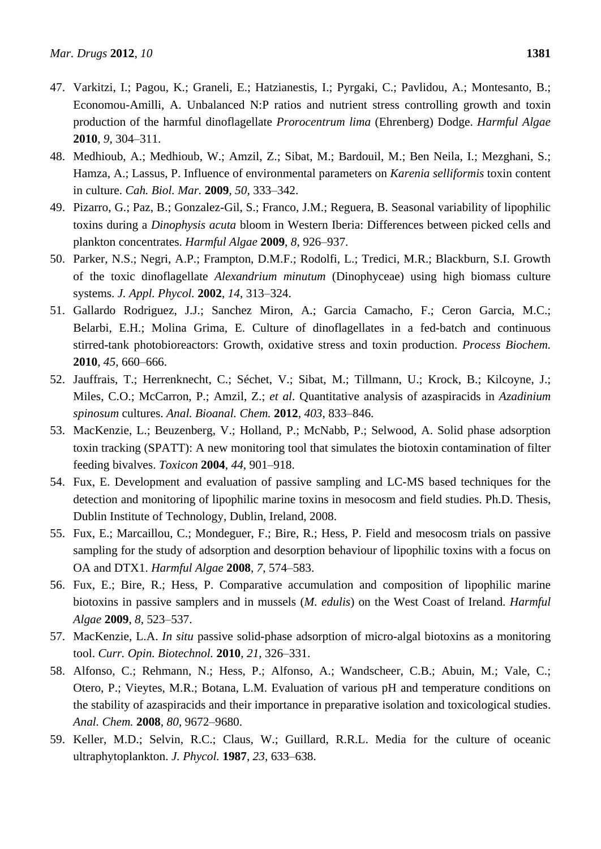- 47. Varkitzi, I.; Pagou, K.; Graneli, E.; Hatzianestis, I.; Pyrgaki, C.; Pavlidou, A.; Montesanto, B.; Economou-Amilli, A. Unbalanced N:P ratios and nutrient stress controlling growth and toxin production of the harmful dinoflagellate *Prorocentrum lima* (Ehrenberg) Dodge. *Harmful Algae* **2010**, *9*, 304–311.
- 48. Medhioub, A.; Medhioub, W.; Amzil, Z.; Sibat, M.; Bardouil, M.; Ben Neila, I.; Mezghani, S.; Hamza, A.; Lassus, P. Influence of environmental parameters on *Karenia selliformis* toxin content in culture. *Cah. Biol. Mar.* **2009**, *50*, 333–342.
- 49. Pizarro, G.; Paz, B.; Gonzalez-Gil, S.; Franco, J.M.; Reguera, B. Seasonal variability of lipophilic toxins during a *Dinophysis acuta* bloom in Western Iberia: Differences between picked cells and plankton concentrates. *Harmful Algae* **2009**, *8*, 926–937.
- 50. Parker, N.S.; Negri, A.P.; Frampton, D.M.F.; Rodolfi, L.; Tredici, M.R.; Blackburn, S.I. Growth of the toxic dinoflagellate *Alexandrium minutum* (Dinophyceae) using high biomass culture systems. *J. Appl. Phycol.* **2002**, *14*, 313–324.
- 51. Gallardo Rodriguez, J.J.; Sanchez Miron, A.; Garcia Camacho, F.; Ceron Garcia, M.C.; Belarbi, E.H.; Molina Grima, E. Culture of dinoflagellates in a fed-batch and continuous stirred-tank photobioreactors: Growth, oxidative stress and toxin production. *Process Biochem.* **2010**, *45*, 660–666.
- 52. Jauffrais, T.; Herrenknecht, C.; Séchet, V.; Sibat, M.; Tillmann, U.; Krock, B.; Kilcoyne, J.; Miles, C.O.; McCarron, P.; Amzil, Z.; *et al*. Quantitative analysis of azaspiracids in *Azadinium spinosum* cultures. *Anal. Bioanal. Chem.* **2012**, *403*, 833–846.
- 53. MacKenzie, L.; Beuzenberg, V.; Holland, P.; McNabb, P.; Selwood, A. Solid phase adsorption toxin tracking (SPATT): A new monitoring tool that simulates the biotoxin contamination of filter feeding bivalves. *Toxicon* **2004**, *44*, 901–918.
- 54. Fux, E. Development and evaluation of passive sampling and LC-MS based techniques for the detection and monitoring of lipophilic marine toxins in mesocosm and field studies. Ph.D. Thesis, Dublin Institute of Technology, Dublin, Ireland, 2008.
- 55. Fux, E.; Marcaillou, C.; Mondeguer, F.; Bire, R.; Hess, P. Field and mesocosm trials on passive sampling for the study of adsorption and desorption behaviour of lipophilic toxins with a focus on OA and DTX1. *Harmful Algae* **2008**, *7*, 574–583.
- 56. Fux, E.; Bire, R.; Hess, P. Comparative accumulation and composition of lipophilic marine biotoxins in passive samplers and in mussels (*M. edulis*) on the West Coast of Ireland. *Harmful Algae* **2009**, *8*, 523–537.
- 57. MacKenzie, L.A. *In situ* passive solid-phase adsorption of micro-algal biotoxins as a monitoring tool. *Curr. Opin. Biotechnol.* **2010**, *21*, 326–331.
- 58. Alfonso, C.; Rehmann, N.; Hess, P.; Alfonso, A.; Wandscheer, C.B.; Abuin, M.; Vale, C.; Otero, P.; Vieytes, M.R.; Botana, L.M. Evaluation of various pH and temperature conditions on the stability of azaspiracids and their importance in preparative isolation and toxicological studies. *Anal. Chem.* **2008**, *80*, 9672–9680.
- 59. Keller, M.D.; Selvin, R.C.; Claus, W.; Guillard, R.R.L. Media for the culture of oceanic ultraphytoplankton. *J. Phycol.* **1987**, *23*, 633–638.